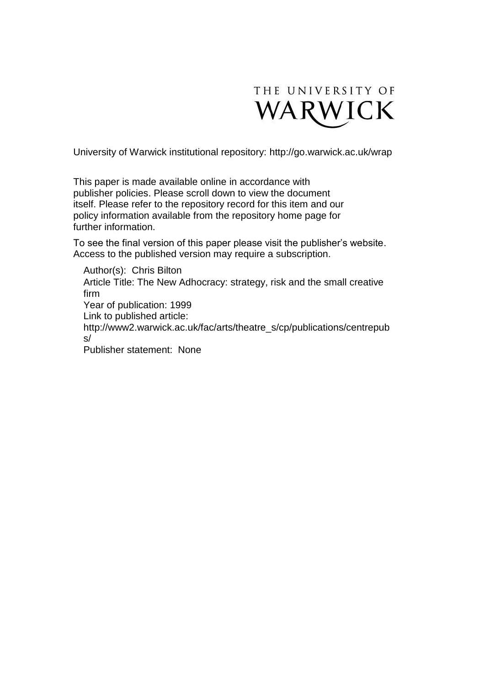

University of Warwick institutional repository:<http://go.warwick.ac.uk/wrap>

This paper is made available online in accordance with publisher policies. Please scroll down to view the document itself. Please refer to the repository record for this item and our policy information available from the repository home page for further information.

To see the final version of this paper please visit the publisher's website. Access to the published version may require a subscription.

Author(s): Chris Bilton Article Title: The New Adhocracy: strategy, risk and the small creative firm Year of publication: 1999 Link to published article: http://www2.warwick.ac.uk/fac/arts/theatre\_s/cp/publications/centrepub s/ Publisher statement: None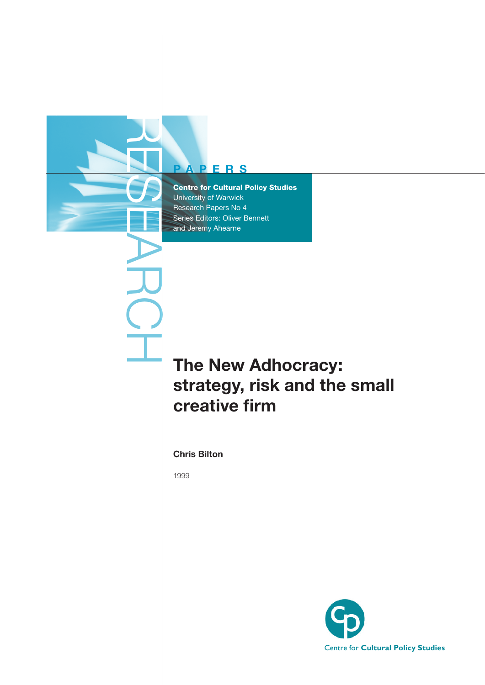

#### **P A P E R S**

Centre for Cultural Policy Studies University of Warwick Research Papers No 4 Series Editors: Oliver Bennett and Jeremy Ahearne

# **The New Adhocracy: strategy, risk and the small creative firm**

**Chris Bilton**

1999

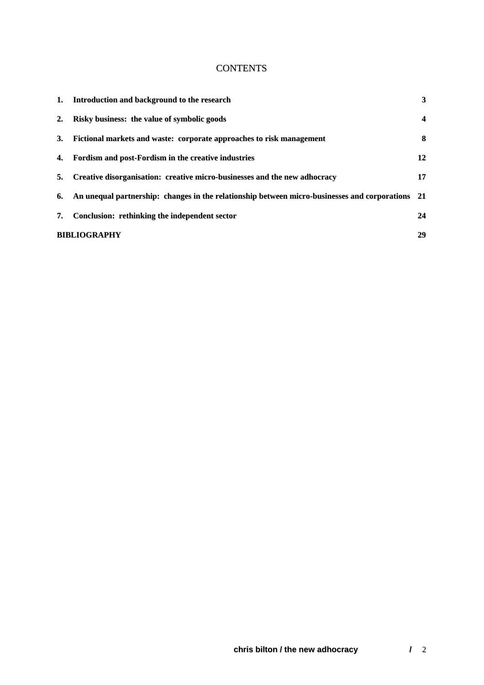#### **CONTENTS**

| 1.          | Introduction and background to the research                                                      | 3                       |  |
|-------------|--------------------------------------------------------------------------------------------------|-------------------------|--|
| $2_{\cdot}$ | Risky business: the value of symbolic goods                                                      | $\overline{\mathbf{4}}$ |  |
| 3.          | Fictional markets and waste: corporate approaches to risk management                             | 8                       |  |
| 4.          | Fordism and post-Fordism in the creative industries                                              | 12                      |  |
| 5.          | Creative disorganisation: creative micro-businesses and the new adhocracy                        | 17                      |  |
| 6.          | An unequal partnership: changes in the relationship between micro-businesses and corporations 21 |                         |  |
| 7.          | Conclusion: rethinking the independent sector                                                    | 24                      |  |
|             | <b>BIBLIOGRAPHY</b><br>29                                                                        |                         |  |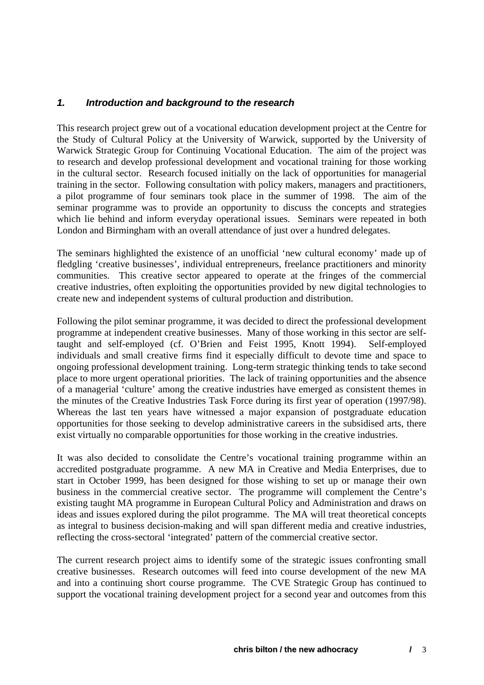#### <span id="page-3-0"></span>*1. Introduction and background to the research*

This research project grew out of a vocational education development project at the Centre for the Study of Cultural Policy at the University of Warwick, supported by the University of Warwick Strategic Group for Continuing Vocational Education. The aim of the project was to research and develop professional development and vocational training for those working in the cultural sector. Research focused initially on the lack of opportunities for managerial training in the sector. Following consultation with policy makers, managers and practitioners, a pilot programme of four seminars took place in the summer of 1998. The aim of the seminar programme was to provide an opportunity to discuss the concepts and strategies which lie behind and inform everyday operational issues. Seminars were repeated in both London and Birmingham with an overall attendance of just over a hundred delegates.

The seminars highlighted the existence of an unofficial 'new cultural economy' made up of fledgling 'creative businesses', individual entrepreneurs, freelance practitioners and minority communities. This creative sector appeared to operate at the fringes of the commercial creative industries, often exploiting the opportunities provided by new digital technologies to create new and independent systems of cultural production and distribution.

Following the pilot seminar programme, it was decided to direct the professional development programme at independent creative businesses. Many of those working in this sector are selftaught and self-employed (cf. O'Brien and Feist 1995, Knott 1994). Self-employed individuals and small creative firms find it especially difficult to devote time and space to ongoing professional development training. Long-term strategic thinking tends to take second place to more urgent operational priorities. The lack of training opportunities and the absence of a managerial 'culture' among the creative industries have emerged as consistent themes in the minutes of the Creative Industries Task Force during its first year of operation (1997/98). Whereas the last ten years have witnessed a major expansion of postgraduate education opportunities for those seeking to develop administrative careers in the subsidised arts, there exist virtually no comparable opportunities for those working in the creative industries.

It was also decided to consolidate the Centre's vocational training programme within an accredited postgraduate programme. A new MA in Creative and Media Enterprises, due to start in October 1999, has been designed for those wishing to set up or manage their own business in the commercial creative sector. The programme will complement the Centre's existing taught MA programme in European Cultural Policy and Administration and draws on ideas and issues explored during the pilot programme. The MA will treat theoretical concepts as integral to business decision-making and will span different media and creative industries, reflecting the cross-sectoral 'integrated' pattern of the commercial creative sector.

The current research project aims to identify some of the strategic issues confronting small creative businesses. Research outcomes will feed into course development of the new MA and into a continuing short course programme. The CVE Strategic Group has continued to support the vocational training development project for a second year and outcomes from this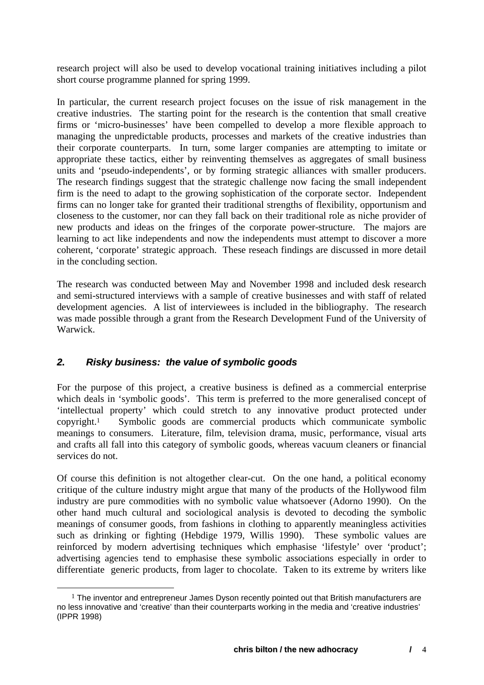<span id="page-4-0"></span>research project will also be used to develop vocational training initiatives including a pilot short course programme planned for spring 1999.

In particular, the current research project focuses on the issue of risk management in the creative industries. The starting point for the research is the contention that small creative firms or 'micro-businesses' have been compelled to develop a more flexible approach to managing the unpredictable products, processes and markets of the creative industries than their corporate counterparts. In turn, some larger companies are attempting to imitate or appropriate these tactics, either by reinventing themselves as aggregates of small business units and 'pseudo-independents', or by forming strategic alliances with smaller producers. The research findings suggest that the strategic challenge now facing the small independent firm is the need to adapt to the growing sophistication of the corporate sector. Independent firms can no longer take for granted their traditional strengths of flexibility, opportunism and closeness to the customer, nor can they fall back on their traditional role as niche provider of new products and ideas on the fringes of the corporate power-structure. The majors are learning to act like independents and now the independents must attempt to discover a more coherent, 'corporate' strategic approach. These reseach findings are discussed in more detail in the concluding section.

The research was conducted between May and November 1998 and included desk research and semi-structured interviews with a sample of creative businesses and with staff of related development agencies. A list of interviewees is included in the bibliography. The research was made possible through a grant from the Research Development Fund of the University of Warwick.

## *2. Risky business: the value of symbolic goods*

For the purpose of this project, a creative business is defined as a commercial enterprise which deals in 'symbolic goods'. This term is preferred to the more generalised concept of 'intellectual property' which could stretch to any innovative product protected under copyright.[1](#page-4-1) Symbolic goods are commercial products which communicate symbolic meanings to consumers. Literature, film, television drama, music, performance, visual arts and crafts all fall into this category of symbolic goods, whereas vacuum cleaners or financial services do not.

Of course this definition is not altogether clear-cut. On the one hand, a political economy critique of the culture industry might argue that many of the products of the Hollywood film industry are pure commodities with no symbolic value whatsoever (Adorno 1990). On the other hand much cultural and sociological analysis is devoted to decoding the symbolic meanings of consumer goods, from fashions in clothing to apparently meaningless activities such as drinking or fighting (Hebdige 1979, Willis 1990). These symbolic values are reinforced by modern advertising techniques which emphasise 'lifestyle' over 'product'; advertising agencies tend to emphasise these symbolic associations especially in order to differentiate generic products, from lager to chocolate. Taken to its extreme by writers like

<span id="page-4-1"></span> $<sup>1</sup>$  The inventor and entrepreneur James Dyson recently pointed out that British manufacturers are</sup> no less innovative and 'creative' than their counterparts working in the media and 'creative industries' (IPPR 1998)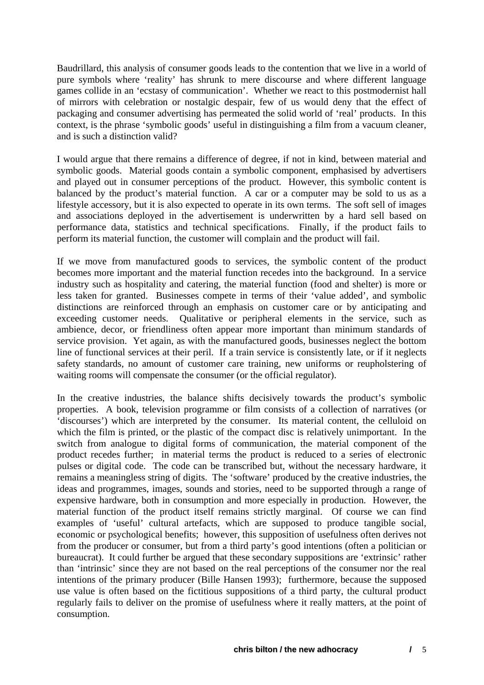Baudrillard, this analysis of consumer goods leads to the contention that we live in a world of pure symbols where 'reality' has shrunk to mere discourse and where different language games collide in an 'ecstasy of communication'. Whether we react to this postmodernist hall of mirrors with celebration or nostalgic despair, few of us would deny that the effect of packaging and consumer advertising has permeated the solid world of 'real' products. In this context, is the phrase 'symbolic goods' useful in distinguishing a film from a vacuum cleaner, and is such a distinction valid?

I would argue that there remains a difference of degree, if not in kind, between material and symbolic goods. Material goods contain a symbolic component, emphasised by advertisers and played out in consumer perceptions of the product. However, this symbolic content is balanced by the product's material function. A car or a computer may be sold to us as a lifestyle accessory, but it is also expected to operate in its own terms. The soft sell of images and associations deployed in the advertisement is underwritten by a hard sell based on performance data, statistics and technical specifications. Finally, if the product fails to perform its material function, the customer will complain and the product will fail.

If we move from manufactured goods to services, the symbolic content of the product becomes more important and the material function recedes into the background. In a service industry such as hospitality and catering, the material function (food and shelter) is more or less taken for granted. Businesses compete in terms of their 'value added', and symbolic distinctions are reinforced through an emphasis on customer care or by anticipating and exceeding customer needs. Qualitative or peripheral elements in the service, such as ambience, decor, or friendliness often appear more important than minimum standards of service provision. Yet again, as with the manufactured goods, businesses neglect the bottom line of functional services at their peril. If a train service is consistently late, or if it neglects safety standards, no amount of customer care training, new uniforms or reupholstering of waiting rooms will compensate the consumer (or the official regulator).

In the creative industries, the balance shifts decisively towards the product's symbolic properties. A book, television programme or film consists of a collection of narratives (or 'discourses') which are interpreted by the consumer. Its material content, the celluloid on which the film is printed, or the plastic of the compact disc is relatively unimportant. In the switch from analogue to digital forms of communication, the material component of the product recedes further; in material terms the product is reduced to a series of electronic pulses or digital code. The code can be transcribed but, without the necessary hardware, it remains a meaningless string of digits. The 'software' produced by the creative industries, the ideas and programmes, images, sounds and stories, need to be supported through a range of expensive hardware, both in consumption and more especially in production. However, the material function of the product itself remains strictly marginal. Of course we can find examples of 'useful' cultural artefacts, which are supposed to produce tangible social, economic or psychological benefits; however, this supposition of usefulness often derives not from the producer or consumer, but from a third party's good intentions (often a politician or bureaucrat). It could further be argued that these secondary suppositions are 'extrinsic' rather than 'intrinsic' since they are not based on the real perceptions of the consumer nor the real intentions of the primary producer (Bille Hansen 1993); furthermore, because the supposed use value is often based on the fictitious suppositions of a third party, the cultural product regularly fails to deliver on the promise of usefulness where it really matters, at the point of consumption.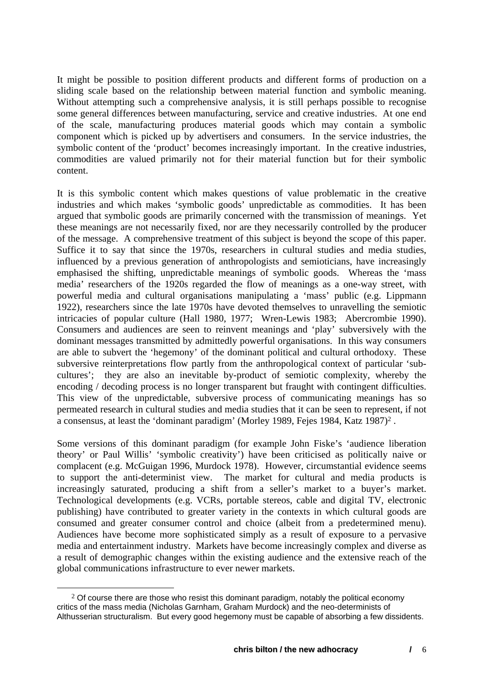It might be possible to position different products and different forms of production on a sliding scale based on the relationship between material function and symbolic meaning. Without attempting such a comprehensive analysis, it is still perhaps possible to recognise some general differences between manufacturing, service and creative industries. At one end of the scale, manufacturing produces material goods which may contain a symbolic component which is picked up by advertisers and consumers. In the service industries, the symbolic content of the 'product' becomes increasingly important. In the creative industries, commodities are valued primarily not for their material function but for their symbolic content.

It is this symbolic content which makes questions of value problematic in the creative industries and which makes 'symbolic goods' unpredictable as commodities. It has been argued that symbolic goods are primarily concerned with the transmission of meanings. Yet these meanings are not necessarily fixed, nor are they necessarily controlled by the producer of the message. A comprehensive treatment of this subject is beyond the scope of this paper. Suffice it to say that since the 1970s, researchers in cultural studies and media studies, influenced by a previous generation of anthropologists and semioticians, have increasingly emphasised the shifting, unpredictable meanings of symbolic goods. Whereas the 'mass media' researchers of the 1920s regarded the flow of meanings as a one-way street, with powerful media and cultural organisations manipulating a 'mass' public (e.g. Lippmann 1922), researchers since the late 1970s have devoted themselves to unravelling the semiotic intricacies of popular culture (Hall 1980, 1977; Wren-Lewis 1983; Abercrombie 1990). Consumers and audiences are seen to reinvent meanings and 'play' subversively with the dominant messages transmitted by admittedly powerful organisations. In this way consumers are able to subvert the 'hegemony' of the dominant political and cultural orthodoxy. These subversive reinterpretations flow partly from the anthropological context of particular 'subcultures'; they are also an inevitable by-product of semiotic complexity, whereby the encoding / decoding process is no longer transparent but fraught with contingent difficulties. This view of the unpredictable, subversive process of communicating meanings has so permeated research in cultural studies and media studies that it can be seen to represent, if not a consensus, at least the 'dominant paradigm' (Morley 1989, Fejes 1984, Katz 1987)[2](#page-6-0) .

Some versions of this dominant paradigm (for example John Fiske's 'audience liberation theory' or Paul Willis' 'symbolic creativity') have been criticised as politically naive or complacent (e.g. McGuigan 1996, Murdock 1978). However, circumstantial evidence seems to support the anti-determinist view. The market for cultural and media products is increasingly saturated, producing a shift from a seller's market to a buyer's market. Technological developments (e.g. VCRs, portable stereos, cable and digital TV, electronic publishing) have contributed to greater variety in the contexts in which cultural goods are consumed and greater consumer control and choice (albeit from a predetermined menu). Audiences have become more sophisticated simply as a result of exposure to a pervasive media and entertainment industry. Markets have become increasingly complex and diverse as a result of demographic changes within the existing audience and the extensive reach of the global communications infrastructure to ever newer markets.

<span id="page-6-0"></span> $2$  Of course there are those who resist this dominant paradigm, notably the political economy critics of the mass media (Nicholas Garnham, Graham Murdock) and the neo-determinists of Althusserian structuralism. But every good hegemony must be capable of absorbing a few dissidents.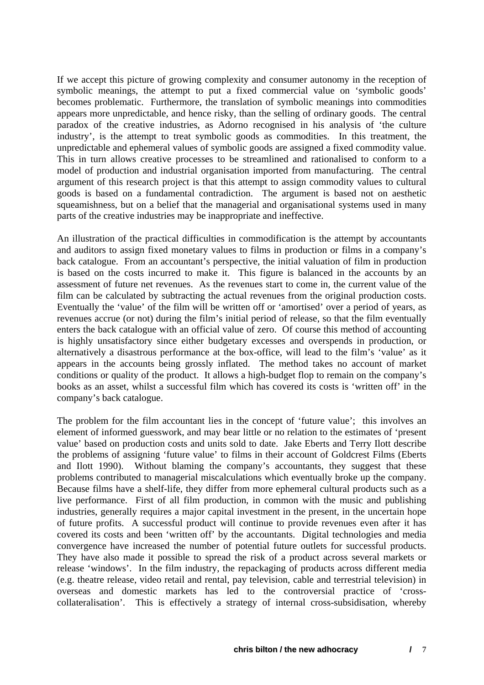If we accept this picture of growing complexity and consumer autonomy in the reception of symbolic meanings, the attempt to put a fixed commercial value on 'symbolic goods' becomes problematic. Furthermore, the translation of symbolic meanings into commodities appears more unpredictable, and hence risky, than the selling of ordinary goods. The central paradox of the creative industries, as Adorno recognised in his analysis of 'the culture industry', is the attempt to treat symbolic goods as commodities. In this treatment, the unpredictable and ephemeral values of symbolic goods are assigned a fixed commodity value. This in turn allows creative processes to be streamlined and rationalised to conform to a model of production and industrial organisation imported from manufacturing. The central argument of this research project is that this attempt to assign commodity values to cultural goods is based on a fundamental contradiction. The argument is based not on aesthetic squeamishness, but on a belief that the managerial and organisational systems used in many parts of the creative industries may be inappropriate and ineffective.

An illustration of the practical difficulties in commodification is the attempt by accountants and auditors to assign fixed monetary values to films in production or films in a company's back catalogue. From an accountant's perspective, the initial valuation of film in production is based on the costs incurred to make it. This figure is balanced in the accounts by an assessment of future net revenues. As the revenues start to come in, the current value of the film can be calculated by subtracting the actual revenues from the original production costs. Eventually the 'value' of the film will be written off or 'amortised' over a period of years, as revenues accrue (or not) during the film's initial period of release, so that the film eventually enters the back catalogue with an official value of zero. Of course this method of accounting is highly unsatisfactory since either budgetary excesses and overspends in production, or alternatively a disastrous performance at the box-office, will lead to the film's 'value' as it appears in the accounts being grossly inflated. The method takes no account of market conditions or quality of the product. It allows a high-budget flop to remain on the company's books as an asset, whilst a successful film which has covered its costs is 'written off' in the company's back catalogue.

The problem for the film accountant lies in the concept of 'future value'; this involves an element of informed guesswork, and may bear little or no relation to the estimates of 'present value' based on production costs and units sold to date. Jake Eberts and Terry Ilott describe the problems of assigning 'future value' to films in their account of Goldcrest Films (Eberts and Ilott 1990). Without blaming the company's accountants, they suggest that these problems contributed to managerial miscalculations which eventually broke up the company. Because films have a shelf-life, they differ from more ephemeral cultural products such as a live performance. First of all film production, in common with the music and publishing industries, generally requires a major capital investment in the present, in the uncertain hope of future profits. A successful product will continue to provide revenues even after it has covered its costs and been 'written off' by the accountants. Digital technologies and media convergence have increased the number of potential future outlets for successful products. They have also made it possible to spread the risk of a product across several markets or release 'windows'. In the film industry, the repackaging of products across different media (e.g. theatre release, video retail and rental, pay television, cable and terrestrial television) in overseas and domestic markets has led to the controversial practice of 'crosscollateralisation'. This is effectively a strategy of internal cross-subsidisation, whereby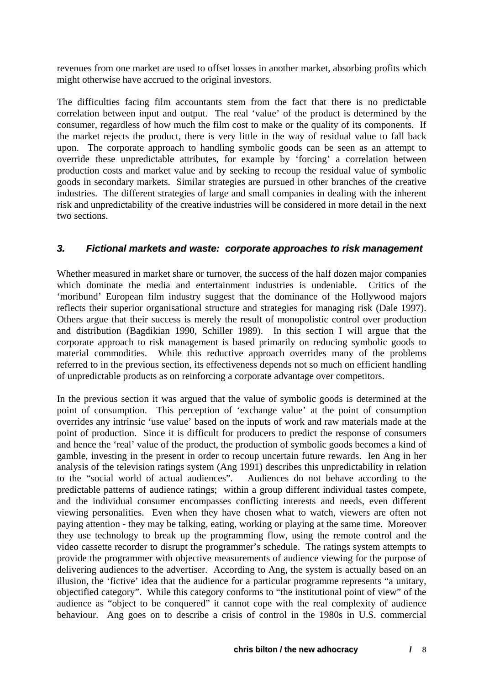<span id="page-8-0"></span>revenues from one market are used to offset losses in another market, absorbing profits which might otherwise have accrued to the original investors.

The difficulties facing film accountants stem from the fact that there is no predictable correlation between input and output. The real 'value' of the product is determined by the consumer, regardless of how much the film cost to make or the quality of its components. If the market rejects the product, there is very little in the way of residual value to fall back upon. The corporate approach to handling symbolic goods can be seen as an attempt to override these unpredictable attributes, for example by 'forcing' a correlation between production costs and market value and by seeking to recoup the residual value of symbolic goods in secondary markets. Similar strategies are pursued in other branches of the creative industries. The different strategies of large and small companies in dealing with the inherent risk and unpredictability of the creative industries will be considered in more detail in the next two sections.

#### *3. Fictional markets and waste: corporate approaches to risk management*

Whether measured in market share or turnover, the success of the half dozen major companies which dominate the media and entertainment industries is undeniable. Critics of the 'moribund' European film industry suggest that the dominance of the Hollywood majors reflects their superior organisational structure and strategies for managing risk (Dale 1997). Others argue that their success is merely the result of monopolistic control over production and distribution (Bagdikian 1990, Schiller 1989). In this section I will argue that the corporate approach to risk management is based primarily on reducing symbolic goods to material commodities. While this reductive approach overrides many of the problems referred to in the previous section, its effectiveness depends not so much on efficient handling of unpredictable products as on reinforcing a corporate advantage over competitors.

In the previous section it was argued that the value of symbolic goods is determined at the point of consumption. This perception of 'exchange value' at the point of consumption overrides any intrinsic 'use value' based on the inputs of work and raw materials made at the point of production. Since it is difficult for producers to predict the response of consumers and hence the 'real' value of the product, the production of symbolic goods becomes a kind of gamble, investing in the present in order to recoup uncertain future rewards. Ien Ang in her analysis of the television ratings system (Ang 1991) describes this unpredictability in relation to the "social world of actual audiences". Audiences do not behave according to the predictable patterns of audience ratings; within a group different individual tastes compete, and the individual consumer encompasses conflicting interests and needs, even different viewing personalities. Even when they have chosen what to watch, viewers are often not paying attention - they may be talking, eating, working or playing at the same time. Moreover they use technology to break up the programming flow, using the remote control and the video cassette recorder to disrupt the programmer's schedule. The ratings system attempts to provide the programmer with objective measurements of audience viewing for the purpose of delivering audiences to the advertiser. According to Ang, the system is actually based on an illusion, the 'fictive' idea that the audience for a particular programme represents "a unitary, objectified category". While this category conforms to "the institutional point of view" of the audience as "object to be conquered" it cannot cope with the real complexity of audience behaviour. Ang goes on to describe a crisis of control in the 1980s in U.S. commercial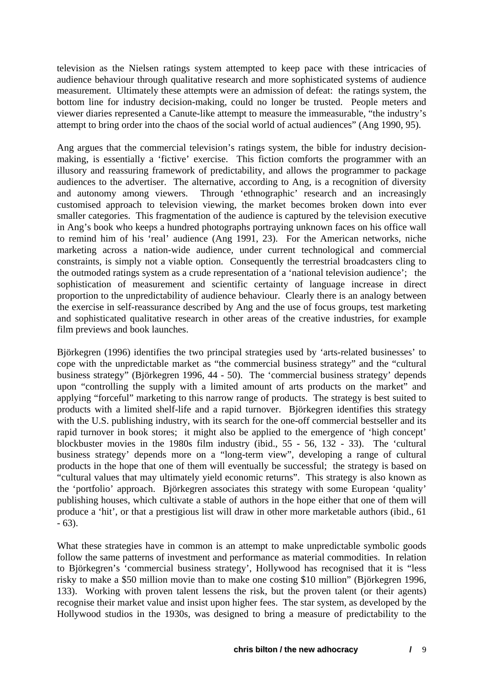television as the Nielsen ratings system attempted to keep pace with these intricacies of audience behaviour through qualitative research and more sophisticated systems of audience measurement. Ultimately these attempts were an admission of defeat: the ratings system, the bottom line for industry decision-making, could no longer be trusted. People meters and viewer diaries represented a Canute-like attempt to measure the immeasurable, "the industry's attempt to bring order into the chaos of the social world of actual audiences" (Ang 1990, 95).

Ang argues that the commercial television's ratings system, the bible for industry decisionmaking, is essentially a 'fictive' exercise. This fiction comforts the programmer with an illusory and reassuring framework of predictability, and allows the programmer to package audiences to the advertiser. The alternative, according to Ang, is a recognition of diversity and autonomy among viewers. Through 'ethnographic' research and an increasingly customised approach to television viewing, the market becomes broken down into ever smaller categories. This fragmentation of the audience is captured by the television executive in Ang's book who keeps a hundred photographs portraying unknown faces on his office wall to remind him of his 'real' audience (Ang 1991, 23). For the American networks, niche marketing across a nation-wide audience, under current technological and commercial constraints, is simply not a viable option. Consequently the terrestrial broadcasters cling to the outmoded ratings system as a crude representation of a 'national television audience'; the sophistication of measurement and scientific certainty of language increase in direct proportion to the unpredictability of audience behaviour. Clearly there is an analogy between the exercise in self-reassurance described by Ang and the use of focus groups, test marketing and sophisticated qualitative research in other areas of the creative industries, for example film previews and book launches.

Björkegren (1996) identifies the two principal strategies used by 'arts-related businesses' to cope with the unpredictable market as "the commercial business strategy" and the "cultural business strategy" (Björkegren 1996, 44 - 50). The 'commercial business strategy' depends upon "controlling the supply with a limited amount of arts products on the market" and applying "forceful" marketing to this narrow range of products. The strategy is best suited to products with a limited shelf-life and a rapid turnover. Björkegren identifies this strategy with the U.S. publishing industry, with its search for the one-off commercial bestseller and its rapid turnover in book stores; it might also be applied to the emergence of 'high concept' blockbuster movies in the 1980s film industry (ibid., 55 - 56, 132 - 33). The 'cultural business strategy' depends more on a "long-term view", developing a range of cultural products in the hope that one of them will eventually be successful; the strategy is based on "cultural values that may ultimately yield economic returns". This strategy is also known as the 'portfolio' approach. Björkegren associates this strategy with some European 'quality' publishing houses, which cultivate a stable of authors in the hope either that one of them will produce a 'hit', or that a prestigious list will draw in other more marketable authors (ibid., 61 - 63).

What these strategies have in common is an attempt to make unpredictable symbolic goods follow the same patterns of investment and performance as material commodities. In relation to Björkegren's 'commercial business strategy', Hollywood has recognised that it is "less risky to make a \$50 million movie than to make one costing \$10 million" (Björkegren 1996, 133). Working with proven talent lessens the risk, but the proven talent (or their agents) recognise their market value and insist upon higher fees. The star system, as developed by the Hollywood studios in the 1930s, was designed to bring a measure of predictability to the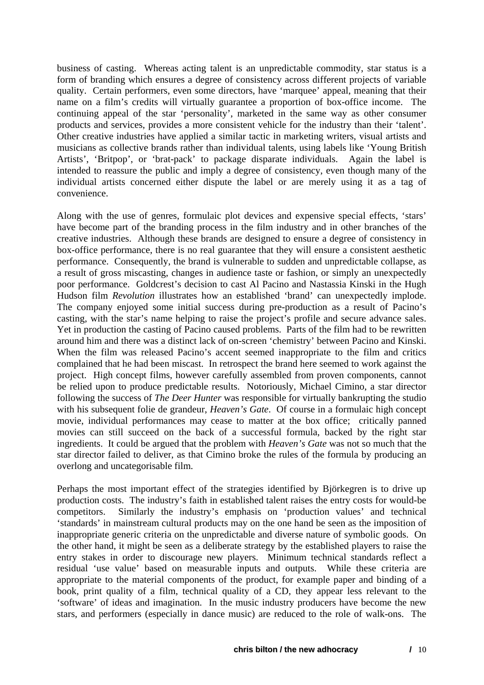business of casting. Whereas acting talent is an unpredictable commodity, star status is a form of branding which ensures a degree of consistency across different projects of variable quality. Certain performers, even some directors, have 'marquee' appeal, meaning that their name on a film's credits will virtually guarantee a proportion of box-office income. The continuing appeal of the star 'personality', marketed in the same way as other consumer products and services, provides a more consistent vehicle for the industry than their 'talent'. Other creative industries have applied a similar tactic in marketing writers, visual artists and musicians as collective brands rather than individual talents, using labels like 'Young British Artists', 'Britpop', or 'brat-pack' to package disparate individuals. Again the label is intended to reassure the public and imply a degree of consistency, even though many of the individual artists concerned either dispute the label or are merely using it as a tag of convenience.

Along with the use of genres, formulaic plot devices and expensive special effects, 'stars' have become part of the branding process in the film industry and in other branches of the creative industries. Although these brands are designed to ensure a degree of consistency in box-office performance, there is no real guarantee that they will ensure a consistent aesthetic performance. Consequently, the brand is vulnerable to sudden and unpredictable collapse, as a result of gross miscasting, changes in audience taste or fashion, or simply an unexpectedly poor performance. Goldcrest's decision to cast Al Pacino and Nastassia Kinski in the Hugh Hudson film *Revolution* illustrates how an established 'brand' can unexpectedly implode. The company enjoyed some initial success during pre-production as a result of Pacino's casting, with the star's name helping to raise the project's profile and secure advance sales. Yet in production the casting of Pacino caused problems. Parts of the film had to be rewritten around him and there was a distinct lack of on-screen 'chemistry' between Pacino and Kinski. When the film was released Pacino's accent seemed inappropriate to the film and critics complained that he had been miscast. In retrospect the brand here seemed to work against the project. High concept films, however carefully assembled from proven components, cannot be relied upon to produce predictable results. Notoriously, Michael Cimino, a star director following the success of *The Deer Hunter* was responsible for virtually bankrupting the studio with his subsequent folie de grandeur, *Heaven's Gate*. Of course in a formulaic high concept movie, individual performances may cease to matter at the box office; critically panned movies can still succeed on the back of a successful formula, backed by the right star ingredients. It could be argued that the problem with *Heaven's Gate* was not so much that the star director failed to deliver, as that Cimino broke the rules of the formula by producing an overlong and uncategorisable film.

Perhaps the most important effect of the strategies identified by Björkegren is to drive up production costs. The industry's faith in established talent raises the entry costs for would-be competitors. Similarly the industry's emphasis on 'production values' and technical 'standards' in mainstream cultural products may on the one hand be seen as the imposition of inappropriate generic criteria on the unpredictable and diverse nature of symbolic goods. On the other hand, it might be seen as a deliberate strategy by the established players to raise the entry stakes in order to discourage new players. Minimum technical standards reflect a residual 'use value' based on measurable inputs and outputs. While these criteria are appropriate to the material components of the product, for example paper and binding of a book, print quality of a film, technical quality of a CD, they appear less relevant to the 'software' of ideas and imagination. In the music industry producers have become the new stars, and performers (especially in dance music) are reduced to the role of walk-ons. The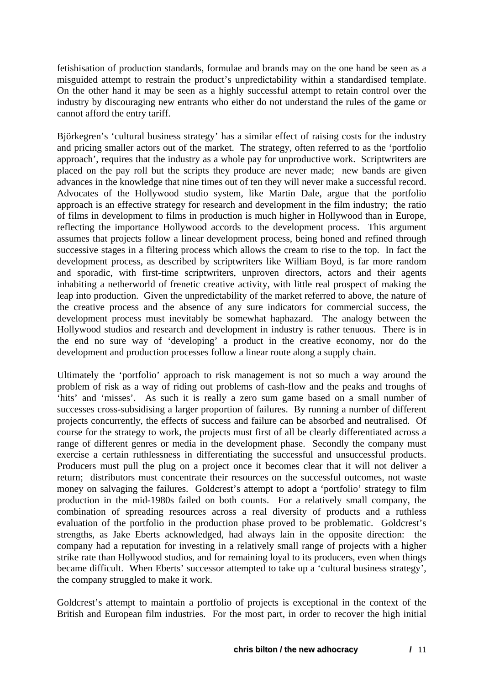fetishisation of production standards, formulae and brands may on the one hand be seen as a misguided attempt to restrain the product's unpredictability within a standardised template. On the other hand it may be seen as a highly successful attempt to retain control over the industry by discouraging new entrants who either do not understand the rules of the game or cannot afford the entry tariff.

Björkegren's 'cultural business strategy' has a similar effect of raising costs for the industry and pricing smaller actors out of the market. The strategy, often referred to as the 'portfolio approach', requires that the industry as a whole pay for unproductive work. Scriptwriters are placed on the pay roll but the scripts they produce are never made; new bands are given advances in the knowledge that nine times out of ten they will never make a successful record. Advocates of the Hollywood studio system, like Martin Dale, argue that the portfolio approach is an effective strategy for research and development in the film industry; the ratio of films in development to films in production is much higher in Hollywood than in Europe, reflecting the importance Hollywood accords to the development process. This argument assumes that projects follow a linear development process, being honed and refined through successive stages in a filtering process which allows the cream to rise to the top. In fact the development process, as described by scriptwriters like William Boyd, is far more random and sporadic, with first-time scriptwriters, unproven directors, actors and their agents inhabiting a netherworld of frenetic creative activity, with little real prospect of making the leap into production. Given the unpredictability of the market referred to above, the nature of the creative process and the absence of any sure indicators for commercial success, the development process must inevitably be somewhat haphazard. The analogy between the Hollywood studios and research and development in industry is rather tenuous. There is in the end no sure way of 'developing' a product in the creative economy, nor do the development and production processes follow a linear route along a supply chain.

Ultimately the 'portfolio' approach to risk management is not so much a way around the problem of risk as a way of riding out problems of cash-flow and the peaks and troughs of 'hits' and 'misses'. As such it is really a zero sum game based on a small number of successes cross-subsidising a larger proportion of failures. By running a number of different projects concurrently, the effects of success and failure can be absorbed and neutralised. Of course for the strategy to work, the projects must first of all be clearly differentiated across a range of different genres or media in the development phase. Secondly the company must exercise a certain ruthlessness in differentiating the successful and unsuccessful products. Producers must pull the plug on a project once it becomes clear that it will not deliver a return; distributors must concentrate their resources on the successful outcomes, not waste money on salvaging the failures. Goldcrest's attempt to adopt a 'portfolio' strategy to film production in the mid-1980s failed on both counts. For a relatively small company, the combination of spreading resources across a real diversity of products and a ruthless evaluation of the portfolio in the production phase proved to be problematic. Goldcrest's strengths, as Jake Eberts acknowledged, had always lain in the opposite direction: the company had a reputation for investing in a relatively small range of projects with a higher strike rate than Hollywood studios, and for remaining loyal to its producers, even when things became difficult. When Eberts' successor attempted to take up a 'cultural business strategy', the company struggled to make it work.

Goldcrest's attempt to maintain a portfolio of projects is exceptional in the context of the British and European film industries. For the most part, in order to recover the high initial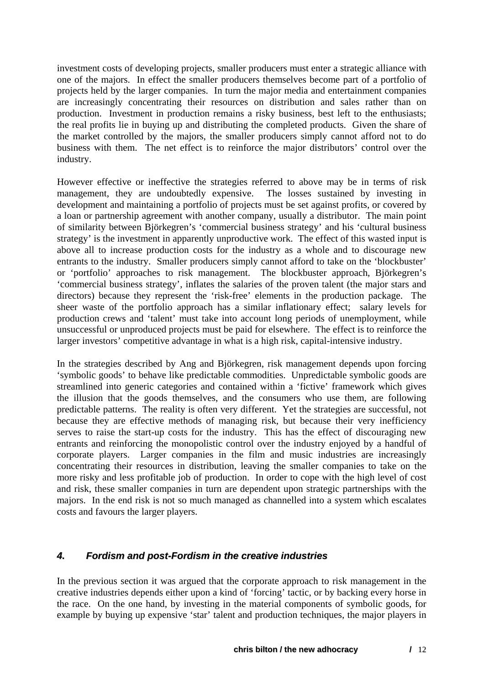<span id="page-12-0"></span>investment costs of developing projects, smaller producers must enter a strategic alliance with one of the majors. In effect the smaller producers themselves become part of a portfolio of projects held by the larger companies. In turn the major media and entertainment companies are increasingly concentrating their resources on distribution and sales rather than on production. Investment in production remains a risky business, best left to the enthusiasts; the real profits lie in buying up and distributing the completed products. Given the share of the market controlled by the majors, the smaller producers simply cannot afford not to do business with them. The net effect is to reinforce the major distributors' control over the industry.

However effective or ineffective the strategies referred to above may be in terms of risk management, they are undoubtedly expensive. The losses sustained by investing in development and maintaining a portfolio of projects must be set against profits, or covered by a loan or partnership agreement with another company, usually a distributor. The main point of similarity between Björkegren's 'commercial business strategy' and his 'cultural business strategy' is the investment in apparently unproductive work. The effect of this wasted input is above all to increase production costs for the industry as a whole and to discourage new entrants to the industry. Smaller producers simply cannot afford to take on the 'blockbuster' or 'portfolio' approaches to risk management. The blockbuster approach, Björkegren's 'commercial business strategy', inflates the salaries of the proven talent (the major stars and directors) because they represent the 'risk-free' elements in the production package. The sheer waste of the portfolio approach has a similar inflationary effect; salary levels for production crews and 'talent' must take into account long periods of unemployment, while unsuccessful or unproduced projects must be paid for elsewhere. The effect is to reinforce the larger investors' competitive advantage in what is a high risk, capital-intensive industry.

In the strategies described by Ang and Björkegren, risk management depends upon forcing 'symbolic goods' to behave like predictable commodities. Unpredictable symbolic goods are streamlined into generic categories and contained within a 'fictive' framework which gives the illusion that the goods themselves, and the consumers who use them, are following predictable patterns. The reality is often very different. Yet the strategies are successful, not because they are effective methods of managing risk, but because their very inefficiency serves to raise the start-up costs for the industry. This has the effect of discouraging new entrants and reinforcing the monopolistic control over the industry enjoyed by a handful of corporate players. Larger companies in the film and music industries are increasingly concentrating their resources in distribution, leaving the smaller companies to take on the more risky and less profitable job of production. In order to cope with the high level of cost and risk, these smaller companies in turn are dependent upon strategic partnerships with the majors. In the end risk is not so much managed as channelled into a system which escalates costs and favours the larger players.

## *4. Fordism and post-Fordism in the creative industries*

In the previous section it was argued that the corporate approach to risk management in the creative industries depends either upon a kind of 'forcing' tactic, or by backing every horse in the race. On the one hand, by investing in the material components of symbolic goods, for example by buying up expensive 'star' talent and production techniques, the major players in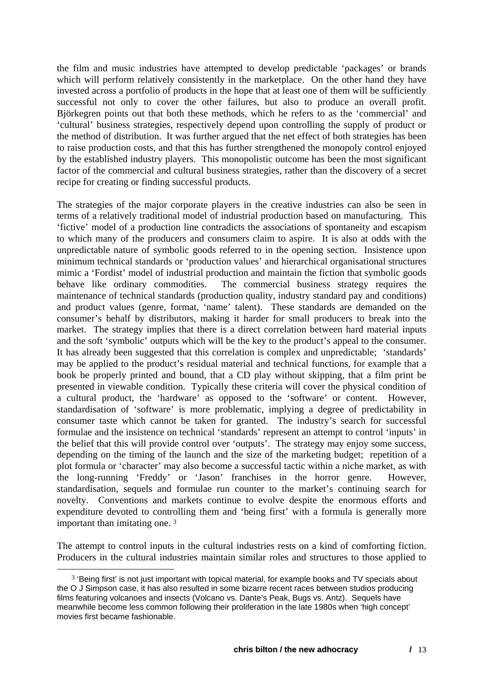the film and music industries have attempted to develop predictable 'packages' or brands which will perform relatively consistently in the marketplace. On the other hand they have invested across a portfolio of products in the hope that at least one of them will be sufficiently successful not only to cover the other failures, but also to produce an overall profit. Björkegren points out that both these methods, which he refers to as the 'commercial' and 'cultural' business strategies, respectively depend upon controlling the supply of product or the method of distribution. It was further argued that the net effect of both strategies has been to raise production costs, and that this has further strengthened the monopoly control enjoyed by the established industry players. This monopolistic outcome has been the most significant factor of the commercial and cultural business strategies, rather than the discovery of a secret recipe for creating or finding successful products.

The strategies of the major corporate players in the creative industries can also be seen in terms of a relatively traditional model of industrial production based on manufacturing. This 'fictive' model of a production line contradicts the associations of spontaneity and escapism to which many of the producers and consumers claim to aspire. It is also at odds with the unpredictable nature of symbolic goods referred to in the opening section. Insistence upon minimum technical standards or 'production values' and hierarchical organisational structures mimic a 'Fordist' model of industrial production and maintain the fiction that symbolic goods behave like ordinary commodities. The commercial business strategy requires the maintenance of technical standards (production quality, industry standard pay and conditions) and product values (genre, format, 'name' talent). These standards are demanded on the consumer's behalf by distributors, making it harder for small producers to break into the market. The strategy implies that there is a direct correlation between hard material inputs and the soft 'symbolic' outputs which will be the key to the product's appeal to the consumer. It has already been suggested that this correlation is complex and unpredictable; 'standards' may be applied to the product's residual material and technical functions, for example that a book be properly printed and bound, that a CD play without skipping, that a film print be presented in viewable condition. Typically these criteria will cover the physical condition of a cultural product, the 'hardware' as opposed to the 'software' or content. However, standardisation of 'software' is more problematic, implying a degree of predictability in consumer taste which cannot be taken for granted. The industry's search for successful formulae and the insistence on technical 'standards' represent an attempt to control 'inputs' in the belief that this will provide control over 'outputs'. The strategy may enjoy some success, depending on the timing of the launch and the size of the marketing budget; repetition of a plot formula or 'character' may also become a successful tactic within a niche market, as with the long-running 'Freddy' or 'Jason' franchises in the horror genre. However, standardisation, sequels and formulae run counter to the market's continuing search for novelty. Conventions and markets continue to evolve despite the enormous efforts and expenditure devoted to controlling them and 'being first' with a formula is generally more important than imitating one. [3](#page-13-0)

The attempt to control inputs in the cultural industries rests on a kind of comforting fiction. Producers in the cultural industries maintain similar roles and structures to those applied to

<span id="page-13-0"></span> $3$  'Being first' is not just important with topical material, for example books and TV specials about the O J Simpson case, it has also resulted in some bizarre recent races between studios producing films featuring volcanoes and insects (Volcano vs. Dante's Peak, Bugs vs. Antz). Sequels have meanwhile become less common following their proliferation in the late 1980s when 'high concept' movies first became fashionable.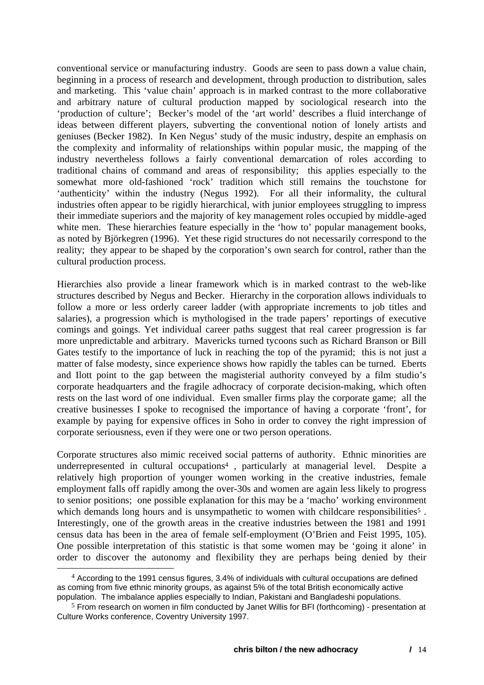conventional service or manufacturing industry. Goods are seen to pass down a value chain, beginning in a process of research and development, through production to distribution, sales and marketing. This 'value chain' approach is in marked contrast to the more collaborative and arbitrary nature of cultural production mapped by sociological research into the 'production of culture'; Becker's model of the 'art world' describes a fluid interchange of ideas between different players, subverting the conventional notion of lonely artists and geniuses (Becker 1982). In Ken Negus' study of the music industry, despite an emphasis on the complexity and informality of relationships within popular music, the mapping of the industry nevertheless follows a fairly conventional demarcation of roles according to traditional chains of command and areas of responsibility; this applies especially to the somewhat more old-fashioned 'rock' tradition which still remains the touchstone for 'authenticity' within the industry (Negus 1992). For all their informality, the cultural industries often appear to be rigidly hierarchical, with junior employees struggling to impress their immediate superiors and the majority of key management roles occupied by middle-aged white men. These hierarchies feature especially in the 'how to' popular management books, as noted by Björkegren (1996). Yet these rigid structures do not necessarily correspond to the reality; they appear to be shaped by the corporation's own search for control, rather than the cultural production process.

Hierarchies also provide a linear framework which is in marked contrast to the web-like structures described by Negus and Becker. Hierarchy in the corporation allows individuals to follow a more or less orderly career ladder (with appropriate increments to job titles and salaries), a progression which is mythologised in the trade papers' reportings of executive comings and goings. Yet individual career paths suggest that real career progression is far more unpredictable and arbitrary. Mavericks turned tycoons such as Richard Branson or Bill Gates testify to the importance of luck in reaching the top of the pyramid; this is not just a matter of false modesty, since experience shows how rapidly the tables can be turned. Eberts and Ilott point to the gap between the magisterial authority conveyed by a film studio's corporate headquarters and the fragile adhocracy of corporate decision-making, which often rests on the last word of one individual. Even smaller firms play the corporate game; all the creative businesses I spoke to recognised the importance of having a corporate 'front', for example by paying for expensive offices in Soho in order to convey the right impression of corporate seriousness, even if they were one or two person operations.

Corporate structures also mimic received social patterns of authority. Ethnic minorities are underrepresented in cultural occupations[4](#page-14-0) , particularly at managerial level. Despite a relatively high proportion of younger women working in the creative industries, female employment falls off rapidly among the over-30s and women are again less likely to progress to senior positions; one possible explanation for this may be a 'macho' working environment which demands long hours and is unsympathetic to women with childcare responsibilities<sup>5</sup>. Interestingly, one of the growth areas in the creative industries between the 1981 and 1991 census data has been in the area of female self-employment (O'Brien and Feist 1995, 105). One possible interpretation of this statistic is that some women may be 'going it alone' in order to discover the autonomy and flexibility they are perhaps being denied by their

<span id="page-14-0"></span><sup>4</sup> According to the 1991 census figures, 3.4% of individuals with cultural occupations are defined as coming from five ethnic minority groups, as against 5% of the total British economically active population. The imbalance applies especially to Indian, Pakistani and Bangladeshi populations.

<span id="page-14-1"></span> $5$  From research on women in film conducted by Janet Willis for BFI (forthcoming) - presentation at Culture Works conference, Coventry University 1997.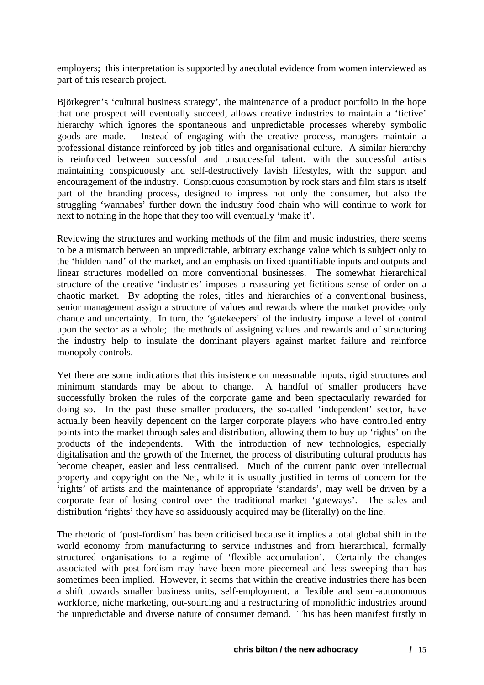employers; this interpretation is supported by anecdotal evidence from women interviewed as part of this research project.

Björkegren's 'cultural business strategy', the maintenance of a product portfolio in the hope that one prospect will eventually succeed, allows creative industries to maintain a 'fictive' hierarchy which ignores the spontaneous and unpredictable processes whereby symbolic goods are made. Instead of engaging with the creative process, managers maintain a professional distance reinforced by job titles and organisational culture. A similar hierarchy is reinforced between successful and unsuccessful talent, with the successful artists maintaining conspicuously and self-destructively lavish lifestyles, with the support and encouragement of the industry. Conspicuous consumption by rock stars and film stars is itself part of the branding process, designed to impress not only the consumer, but also the struggling 'wannabes' further down the industry food chain who will continue to work for next to nothing in the hope that they too will eventually 'make it'.

Reviewing the structures and working methods of the film and music industries, there seems to be a mismatch between an unpredictable, arbitrary exchange value which is subject only to the 'hidden hand' of the market, and an emphasis on fixed quantifiable inputs and outputs and linear structures modelled on more conventional businesses. The somewhat hierarchical structure of the creative 'industries' imposes a reassuring yet fictitious sense of order on a chaotic market. By adopting the roles, titles and hierarchies of a conventional business, senior management assign a structure of values and rewards where the market provides only chance and uncertainty. In turn, the 'gatekeepers' of the industry impose a level of control upon the sector as a whole; the methods of assigning values and rewards and of structuring the industry help to insulate the dominant players against market failure and reinforce monopoly controls.

Yet there are some indications that this insistence on measurable inputs, rigid structures and minimum standards may be about to change. A handful of smaller producers have successfully broken the rules of the corporate game and been spectacularly rewarded for doing so. In the past these smaller producers, the so-called 'independent' sector, have actually been heavily dependent on the larger corporate players who have controlled entry points into the market through sales and distribution, allowing them to buy up 'rights' on the products of the independents. With the introduction of new technologies, especially digitalisation and the growth of the Internet, the process of distributing cultural products has become cheaper, easier and less centralised. Much of the current panic over intellectual property and copyright on the Net, while it is usually justified in terms of concern for the 'rights' of artists and the maintenance of appropriate 'standards', may well be driven by a corporate fear of losing control over the traditional market 'gateways'. The sales and distribution 'rights' they have so assiduously acquired may be (literally) on the line.

The rhetoric of 'post-fordism' has been criticised because it implies a total global shift in the world economy from manufacturing to service industries and from hierarchical, formally structured organisations to a regime of 'flexible accumulation'. Certainly the changes associated with post-fordism may have been more piecemeal and less sweeping than has sometimes been implied. However, it seems that within the creative industries there has been a shift towards smaller business units, self-employment, a flexible and semi-autonomous workforce, niche marketing, out-sourcing and a restructuring of monolithic industries around the unpredictable and diverse nature of consumer demand. This has been manifest firstly in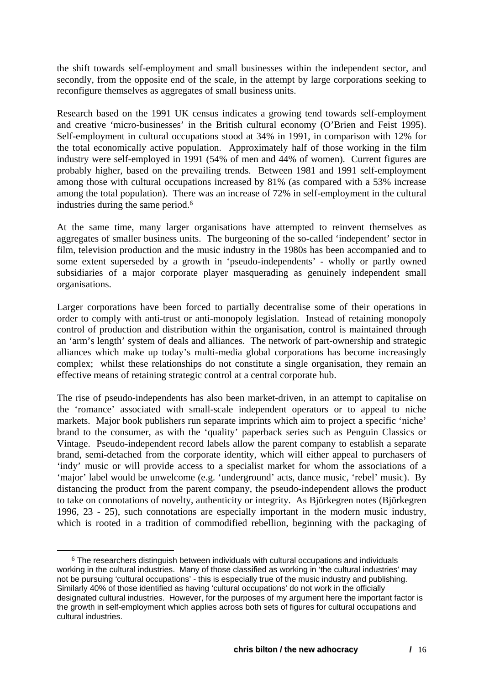the shift towards self-employment and small businesses within the independent sector, and secondly, from the opposite end of the scale, in the attempt by large corporations seeking to reconfigure themselves as aggregates of small business units.

Research based on the 1991 UK census indicates a growing tend towards self-employment and creative 'micro-businesses' in the British cultural economy (O'Brien and Feist 1995). Self-employment in cultural occupations stood at 34% in 1991, in comparison with 12% for the total economically active population. Approximately half of those working in the film industry were self-employed in 1991 (54% of men and 44% of women). Current figures are probably higher, based on the prevailing trends. Between 1981 and 1991 self-employment among those with cultural occupations increased by 81% (as compared with a 53% increase among the total population). There was an increase of 72% in self-employment in the cultural industries during the same period[.6](#page-16-0) 

At the same time, many larger organisations have attempted to reinvent themselves as aggregates of smaller business units. The burgeoning of the so-called 'independent' sector in film, television production and the music industry in the 1980s has been accompanied and to some extent superseded by a growth in 'pseudo-independents' - wholly or partly owned subsidiaries of a major corporate player masquerading as genuinely independent small organisations.

Larger corporations have been forced to partially decentralise some of their operations in order to comply with anti-trust or anti-monopoly legislation. Instead of retaining monopoly control of production and distribution within the organisation, control is maintained through an 'arm's length' system of deals and alliances. The network of part-ownership and strategic alliances which make up today's multi-media global corporations has become increasingly complex; whilst these relationships do not constitute a single organisation, they remain an effective means of retaining strategic control at a central corporate hub.

The rise of pseudo-independents has also been market-driven, in an attempt to capitalise on the 'romance' associated with small-scale independent operators or to appeal to niche markets. Major book publishers run separate imprints which aim to project a specific 'niche' brand to the consumer, as with the 'quality' paperback series such as Penguin Classics or Vintage. Pseudo-independent record labels allow the parent company to establish a separate brand, semi-detached from the corporate identity, which will either appeal to purchasers of 'indy' music or will provide access to a specialist market for whom the associations of a 'major' label would be unwelcome (e.g. 'underground' acts, dance music, 'rebel' music). By distancing the product from the parent company, the pseudo-independent allows the product to take on connotations of novelty, authenticity or integrity. As Björkegren notes (Björkegren 1996, 23 - 25), such connotations are especially important in the modern music industry, which is rooted in a tradition of commodified rebellion, beginning with the packaging of

<span id="page-16-0"></span> $6$  The researchers distinguish between individuals with cultural occupations and individuals working in the cultural industries. Many of those classified as working in 'the cultural industries' may not be pursuing 'cultural occupations' - this is especially true of the music industry and publishing. Similarly 40% of those identified as having 'cultural occupations' do not work in the officially designated cultural industries. However, for the purposes of my argument here the important factor is the growth in self-employment which applies across both sets of figures for cultural occupations and cultural industries.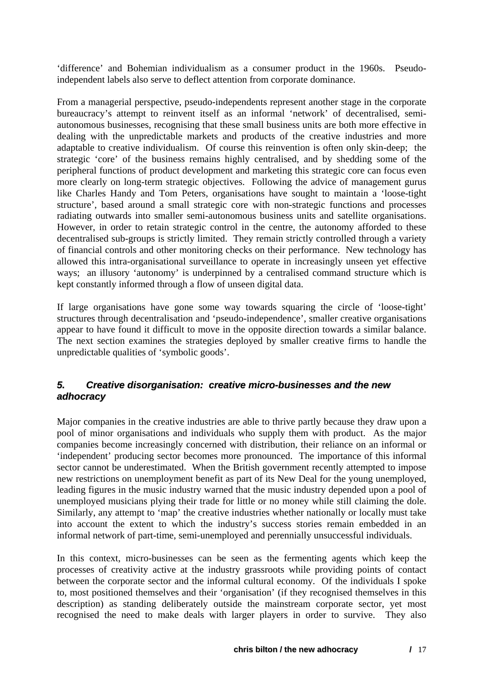<span id="page-17-0"></span>'difference' and Bohemian individualism as a consumer product in the 1960s. Pseudoindependent labels also serve to deflect attention from corporate dominance.

From a managerial perspective, pseudo-independents represent another stage in the corporate bureaucracy's attempt to reinvent itself as an informal 'network' of decentralised, semiautonomous businesses, recognising that these small business units are both more effective in dealing with the unpredictable markets and products of the creative industries and more adaptable to creative individualism. Of course this reinvention is often only skin-deep; the strategic 'core' of the business remains highly centralised, and by shedding some of the peripheral functions of product development and marketing this strategic core can focus even more clearly on long-term strategic objectives. Following the advice of management gurus like Charles Handy and Tom Peters, organisations have sought to maintain a 'loose-tight structure', based around a small strategic core with non-strategic functions and processes radiating outwards into smaller semi-autonomous business units and satellite organisations. However, in order to retain strategic control in the centre, the autonomy afforded to these decentralised sub-groups is strictly limited. They remain strictly controlled through a variety of financial controls and other monitoring checks on their performance. New technology has allowed this intra-organisational surveillance to operate in increasingly unseen yet effective ways; an illusory 'autonomy' is underpinned by a centralised command structure which is kept constantly informed through a flow of unseen digital data.

If large organisations have gone some way towards squaring the circle of 'loose-tight' structures through decentralisation and 'pseudo-independence', smaller creative organisations appear to have found it difficult to move in the opposite direction towards a similar balance. The next section examines the strategies deployed by smaller creative firms to handle the unpredictable qualities of 'symbolic goods'.

#### *5. Creative disorganisation: creative micro-businesses and the new adhocracy*

Major companies in the creative industries are able to thrive partly because they draw upon a pool of minor organisations and individuals who supply them with product. As the major companies become increasingly concerned with distribution, their reliance on an informal or 'independent' producing sector becomes more pronounced. The importance of this informal sector cannot be underestimated. When the British government recently attempted to impose new restrictions on unemployment benefit as part of its New Deal for the young unemployed, leading figures in the music industry warned that the music industry depended upon a pool of unemployed musicians plying their trade for little or no money while still claiming the dole. Similarly, any attempt to 'map' the creative industries whether nationally or locally must take into account the extent to which the industry's success stories remain embedded in an informal network of part-time, semi-unemployed and perennially unsuccessful individuals.

In this context, micro-businesses can be seen as the fermenting agents which keep the processes of creativity active at the industry grassroots while providing points of contact between the corporate sector and the informal cultural economy. Of the individuals I spoke to, most positioned themselves and their 'organisation' (if they recognised themselves in this description) as standing deliberately outside the mainstream corporate sector, yet most recognised the need to make deals with larger players in order to survive. They also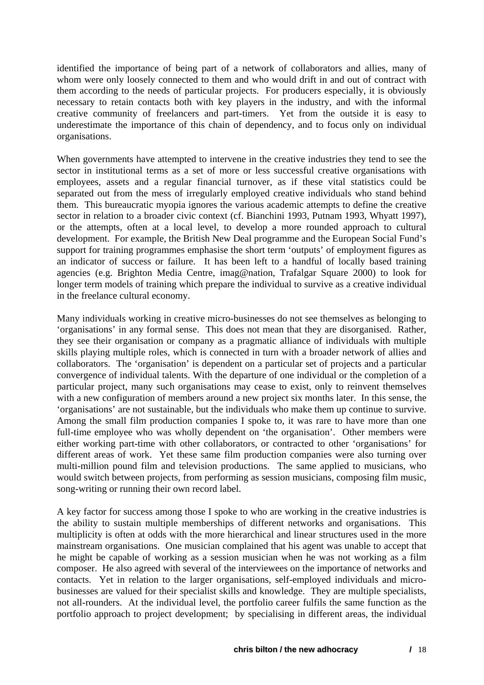identified the importance of being part of a network of collaborators and allies, many of whom were only loosely connected to them and who would drift in and out of contract with them according to the needs of particular projects. For producers especially, it is obviously necessary to retain contacts both with key players in the industry, and with the informal creative community of freelancers and part-timers. Yet from the outside it is easy to underestimate the importance of this chain of dependency, and to focus only on individual organisations.

When governments have attempted to intervene in the creative industries they tend to see the sector in institutional terms as a set of more or less successful creative organisations with employees, assets and a regular financial turnover, as if these vital statistics could be separated out from the mess of irregularly employed creative individuals who stand behind them. This bureaucratic myopia ignores the various academic attempts to define the creative sector in relation to a broader civic context (cf. Bianchini 1993, Putnam 1993, Whyatt 1997), or the attempts, often at a local level, to develop a more rounded approach to cultural development. For example, the British New Deal programme and the European Social Fund's support for training programmes emphasise the short term 'outputs' of employment figures as an indicator of success or failure. It has been left to a handful of locally based training agencies (e.g. Brighton Media Centre, imag@nation, Trafalgar Square 2000) to look for longer term models of training which prepare the individual to survive as a creative individual in the freelance cultural economy.

Many individuals working in creative micro-businesses do not see themselves as belonging to 'organisations' in any formal sense. This does not mean that they are disorganised. Rather, they see their organisation or company as a pragmatic alliance of individuals with multiple skills playing multiple roles, which is connected in turn with a broader network of allies and collaborators. The 'organisation' is dependent on a particular set of projects and a particular convergence of individual talents. With the departure of one individual or the completion of a particular project, many such organisations may cease to exist, only to reinvent themselves with a new configuration of members around a new project six months later. In this sense, the 'organisations' are not sustainable, but the individuals who make them up continue to survive. Among the small film production companies I spoke to, it was rare to have more than one full-time employee who was wholly dependent on 'the organisation'. Other members were either working part-time with other collaborators, or contracted to other 'organisations' for different areas of work. Yet these same film production companies were also turning over multi-million pound film and television productions. The same applied to musicians, who would switch between projects, from performing as session musicians, composing film music, song-writing or running their own record label.

A key factor for success among those I spoke to who are working in the creative industries is the ability to sustain multiple memberships of different networks and organisations. This multiplicity is often at odds with the more hierarchical and linear structures used in the more mainstream organisations. One musician complained that his agent was unable to accept that he might be capable of working as a session musician when he was not working as a film composer. He also agreed with several of the interviewees on the importance of networks and contacts. Yet in relation to the larger organisations, self-employed individuals and microbusinesses are valued for their specialist skills and knowledge. They are multiple specialists, not all-rounders. At the individual level, the portfolio career fulfils the same function as the portfolio approach to project development; by specialising in different areas, the individual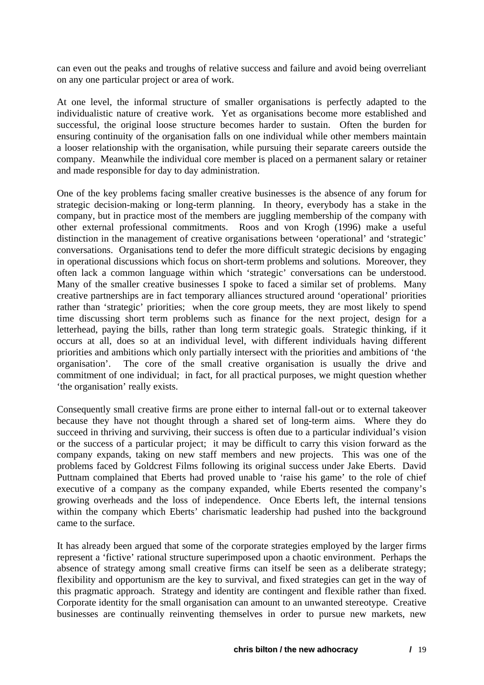can even out the peaks and troughs of relative success and failure and avoid being overreliant on any one particular project or area of work.

At one level, the informal structure of smaller organisations is perfectly adapted to the individualistic nature of creative work. Yet as organisations become more established and successful, the original loose structure becomes harder to sustain. Often the burden for ensuring continuity of the organisation falls on one individual while other members maintain a looser relationship with the organisation, while pursuing their separate careers outside the company. Meanwhile the individual core member is placed on a permanent salary or retainer and made responsible for day to day administration.

One of the key problems facing smaller creative businesses is the absence of any forum for strategic decision-making or long-term planning. In theory, everybody has a stake in the company, but in practice most of the members are juggling membership of the company with other external professional commitments. Roos and von Krogh (1996) make a useful distinction in the management of creative organisations between 'operational' and 'strategic' conversations. Organisations tend to defer the more difficult strategic decisions by engaging in operational discussions which focus on short-term problems and solutions. Moreover, they often lack a common language within which 'strategic' conversations can be understood. Many of the smaller creative businesses I spoke to faced a similar set of problems. Many creative partnerships are in fact temporary alliances structured around 'operational' priorities rather than 'strategic' priorities; when the core group meets, they are most likely to spend time discussing short term problems such as finance for the next project, design for a letterhead, paying the bills, rather than long term strategic goals. Strategic thinking, if it occurs at all, does so at an individual level, with different individuals having different priorities and ambitions which only partially intersect with the priorities and ambitions of 'the organisation'. The core of the small creative organisation is usually the drive and commitment of one individual; in fact, for all practical purposes, we might question whether 'the organisation' really exists.

Consequently small creative firms are prone either to internal fall-out or to external takeover because they have not thought through a shared set of long-term aims. Where they do succeed in thriving and surviving, their success is often due to a particular individual's vision or the success of a particular project; it may be difficult to carry this vision forward as the company expands, taking on new staff members and new projects. This was one of the problems faced by Goldcrest Films following its original success under Jake Eberts. David Puttnam complained that Eberts had proved unable to 'raise his game' to the role of chief executive of a company as the company expanded, while Eberts resented the company's growing overheads and the loss of independence. Once Eberts left, the internal tensions within the company which Eberts' charismatic leadership had pushed into the background came to the surface.

It has already been argued that some of the corporate strategies employed by the larger firms represent a 'fictive' rational structure superimposed upon a chaotic environment. Perhaps the absence of strategy among small creative firms can itself be seen as a deliberate strategy; flexibility and opportunism are the key to survival, and fixed strategies can get in the way of this pragmatic approach. Strategy and identity are contingent and flexible rather than fixed. Corporate identity for the small organisation can amount to an unwanted stereotype. Creative businesses are continually reinventing themselves in order to pursue new markets, new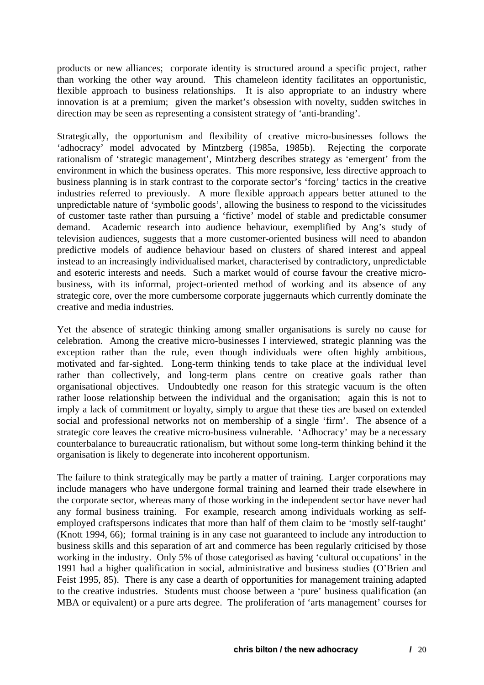products or new alliances; corporate identity is structured around a specific project, rather than working the other way around. This chameleon identity facilitates an opportunistic, flexible approach to business relationships. It is also appropriate to an industry where innovation is at a premium; given the market's obsession with novelty, sudden switches in direction may be seen as representing a consistent strategy of 'anti-branding'.

Strategically, the opportunism and flexibility of creative micro-businesses follows the 'adhocracy' model advocated by Mintzberg (1985a, 1985b). Rejecting the corporate rationalism of 'strategic management', Mintzberg describes strategy as 'emergent' from the environment in which the business operates. This more responsive, less directive approach to business planning is in stark contrast to the corporate sector's 'forcing' tactics in the creative industries referred to previously. A more flexible approach appears better attuned to the unpredictable nature of 'symbolic goods', allowing the business to respond to the vicissitudes of customer taste rather than pursuing a 'fictive' model of stable and predictable consumer demand. Academic research into audience behaviour, exemplified by Ang's study of television audiences, suggests that a more customer-oriented business will need to abandon predictive models of audience behaviour based on clusters of shared interest and appeal instead to an increasingly individualised market, characterised by contradictory, unpredictable and esoteric interests and needs. Such a market would of course favour the creative microbusiness, with its informal, project-oriented method of working and its absence of any strategic core, over the more cumbersome corporate juggernauts which currently dominate the creative and media industries.

Yet the absence of strategic thinking among smaller organisations is surely no cause for celebration. Among the creative micro-businesses I interviewed, strategic planning was the exception rather than the rule, even though individuals were often highly ambitious, motivated and far-sighted. Long-term thinking tends to take place at the individual level rather than collectively, and long-term plans centre on creative goals rather than organisational objectives. Undoubtedly one reason for this strategic vacuum is the often rather loose relationship between the individual and the organisation; again this is not to imply a lack of commitment or loyalty, simply to argue that these ties are based on extended social and professional networks not on membership of a single 'firm'. The absence of a strategic core leaves the creative micro-business vulnerable. 'Adhocracy' may be a necessary counterbalance to bureaucratic rationalism, but without some long-term thinking behind it the organisation is likely to degenerate into incoherent opportunism.

The failure to think strategically may be partly a matter of training. Larger corporations may include managers who have undergone formal training and learned their trade elsewhere in the corporate sector, whereas many of those working in the independent sector have never had any formal business training. For example, research among individuals working as selfemployed craftspersons indicates that more than half of them claim to be 'mostly self-taught' (Knott 1994, 66); formal training is in any case not guaranteed to include any introduction to business skills and this separation of art and commerce has been regularly criticised by those working in the industry. Only 5% of those categorised as having 'cultural occupations' in the 1991 had a higher qualification in social, administrative and business studies (O'Brien and Feist 1995, 85). There is any case a dearth of opportunities for management training adapted to the creative industries. Students must choose between a 'pure' business qualification (an MBA or equivalent) or a pure arts degree. The proliferation of 'arts management' courses for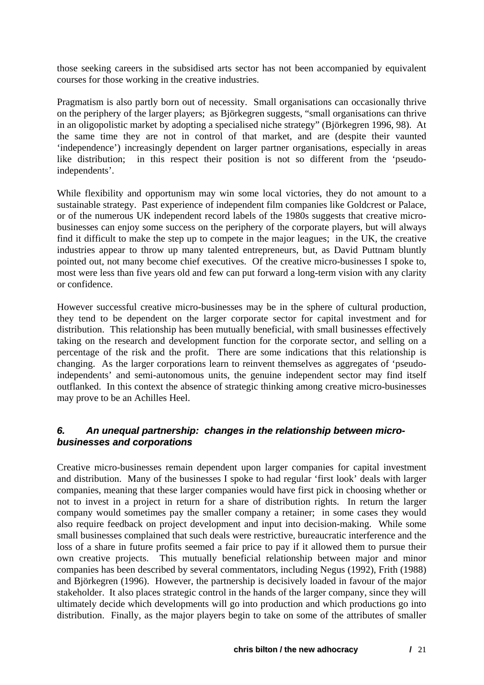<span id="page-21-0"></span>those seeking careers in the subsidised arts sector has not been accompanied by equivalent courses for those working in the creative industries.

Pragmatism is also partly born out of necessity. Small organisations can occasionally thrive on the periphery of the larger players; as Björkegren suggests, "small organisations can thrive in an oligopolistic market by adopting a specialised niche strategy" (Björkegren 1996, 98). At the same time they are not in control of that market, and are (despite their vaunted 'independence') increasingly dependent on larger partner organisations, especially in areas like distribution; in this respect their position is not so different from the 'pseudoindependents'.

While flexibility and opportunism may win some local victories, they do not amount to a sustainable strategy. Past experience of independent film companies like Goldcrest or Palace, or of the numerous UK independent record labels of the 1980s suggests that creative microbusinesses can enjoy some success on the periphery of the corporate players, but will always find it difficult to make the step up to compete in the major leagues; in the UK, the creative industries appear to throw up many talented entrepreneurs, but, as David Puttnam bluntly pointed out, not many become chief executives. Of the creative micro-businesses I spoke to, most were less than five years old and few can put forward a long-term vision with any clarity or confidence.

However successful creative micro-businesses may be in the sphere of cultural production, they tend to be dependent on the larger corporate sector for capital investment and for distribution. This relationship has been mutually beneficial, with small businesses effectively taking on the research and development function for the corporate sector, and selling on a percentage of the risk and the profit. There are some indications that this relationship is changing. As the larger corporations learn to reinvent themselves as aggregates of 'pseudoindependents' and semi-autonomous units, the genuine independent sector may find itself outflanked. In this context the absence of strategic thinking among creative micro-businesses may prove to be an Achilles Heel.

## *6. An unequal partnership: changes in the relationship between microbusinesses and corporations*

Creative micro-businesses remain dependent upon larger companies for capital investment and distribution. Many of the businesses I spoke to had regular 'first look' deals with larger companies, meaning that these larger companies would have first pick in choosing whether or not to invest in a project in return for a share of distribution rights. In return the larger company would sometimes pay the smaller company a retainer; in some cases they would also require feedback on project development and input into decision-making. While some small businesses complained that such deals were restrictive, bureaucratic interference and the loss of a share in future profits seemed a fair price to pay if it allowed them to pursue their own creative projects. This mutually beneficial relationship between major and minor companies has been described by several commentators, including Negus (1992), Frith (1988) and Björkegren (1996). However, the partnership is decisively loaded in favour of the major stakeholder. It also places strategic control in the hands of the larger company, since they will ultimately decide which developments will go into production and which productions go into distribution. Finally, as the major players begin to take on some of the attributes of smaller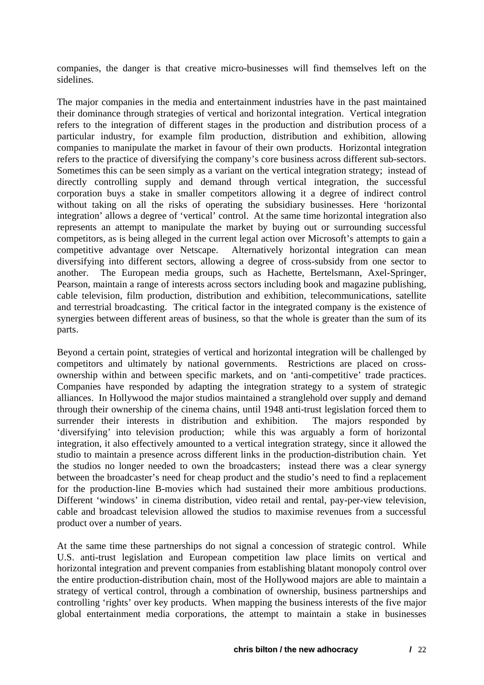companies, the danger is that creative micro-businesses will find themselves left on the sidelines.

The major companies in the media and entertainment industries have in the past maintained their dominance through strategies of vertical and horizontal integration. Vertical integration refers to the integration of different stages in the production and distribution process of a particular industry, for example film production, distribution and exhibition, allowing companies to manipulate the market in favour of their own products. Horizontal integration refers to the practice of diversifying the company's core business across different sub-sectors. Sometimes this can be seen simply as a variant on the vertical integration strategy; instead of directly controlling supply and demand through vertical integration, the successful corporation buys a stake in smaller competitors allowing it a degree of indirect control without taking on all the risks of operating the subsidiary businesses. Here 'horizontal integration' allows a degree of 'vertical' control. At the same time horizontal integration also represents an attempt to manipulate the market by buying out or surrounding successful competitors, as is being alleged in the current legal action over Microsoft's attempts to gain a competitive advantage over Netscape. Alternatively horizontal integration can mean diversifying into different sectors, allowing a degree of cross-subsidy from one sector to another. The European media groups, such as Hachette, Bertelsmann, Axel-Springer, Pearson, maintain a range of interests across sectors including book and magazine publishing, cable television, film production, distribution and exhibition, telecommunications, satellite and terrestrial broadcasting. The critical factor in the integrated company is the existence of synergies between different areas of business, so that the whole is greater than the sum of its parts.

Beyond a certain point, strategies of vertical and horizontal integration will be challenged by competitors and ultimately by national governments. Restrictions are placed on crossownership within and between specific markets, and on 'anti-competitive' trade practices. Companies have responded by adapting the integration strategy to a system of strategic alliances. In Hollywood the major studios maintained a stranglehold over supply and demand through their ownership of the cinema chains, until 1948 anti-trust legislation forced them to surrender their interests in distribution and exhibition. The majors responded by 'diversifying' into television production; while this was arguably a form of horizontal integration, it also effectively amounted to a vertical integration strategy, since it allowed the studio to maintain a presence across different links in the production-distribution chain. Yet the studios no longer needed to own the broadcasters; instead there was a clear synergy between the broadcaster's need for cheap product and the studio's need to find a replacement for the production-line B-movies which had sustained their more ambitious productions. Different 'windows' in cinema distribution, video retail and rental, pay-per-view television, cable and broadcast television allowed the studios to maximise revenues from a successful product over a number of years.

At the same time these partnerships do not signal a concession of strategic control. While U.S. anti-trust legislation and European competition law place limits on vertical and horizontal integration and prevent companies from establishing blatant monopoly control over the entire production-distribution chain, most of the Hollywood majors are able to maintain a strategy of vertical control, through a combination of ownership, business partnerships and controlling 'rights' over key products. When mapping the business interests of the five major global entertainment media corporations, the attempt to maintain a stake in businesses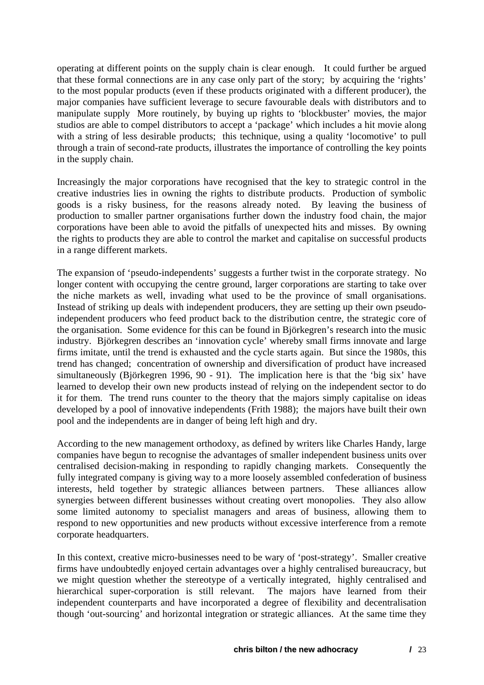operating at different points on the supply chain is clear enough. It could further be argued that these formal connections are in any case only part of the story; by acquiring the 'rights' to the most popular products (even if these products originated with a different producer), the major companies have sufficient leverage to secure favourable deals with distributors and to manipulate supply More routinely, by buying up rights to 'blockbuster' movies, the major studios are able to compel distributors to accept a 'package' which includes a hit movie along with a string of less desirable products; this technique, using a quality 'locomotive' to pull through a train of second-rate products, illustrates the importance of controlling the key points in the supply chain.

Increasingly the major corporations have recognised that the key to strategic control in the creative industries lies in owning the rights to distribute products. Production of symbolic goods is a risky business, for the reasons already noted. By leaving the business of production to smaller partner organisations further down the industry food chain, the major corporations have been able to avoid the pitfalls of unexpected hits and misses. By owning the rights to products they are able to control the market and capitalise on successful products in a range different markets.

The expansion of 'pseudo-independents' suggests a further twist in the corporate strategy. No longer content with occupying the centre ground, larger corporations are starting to take over the niche markets as well, invading what used to be the province of small organisations. Instead of striking up deals with independent producers, they are setting up their own pseudoindependent producers who feed product back to the distribution centre, the strategic core of the organisation. Some evidence for this can be found in Björkegren's research into the music industry. Björkegren describes an 'innovation cycle' whereby small firms innovate and large firms imitate, until the trend is exhausted and the cycle starts again. But since the 1980s, this trend has changed; concentration of ownership and diversification of product have increased simultaneously (Björkegren 1996, 90 - 91). The implication here is that the 'big six' have learned to develop their own new products instead of relying on the independent sector to do it for them. The trend runs counter to the theory that the majors simply capitalise on ideas developed by a pool of innovative independents (Frith 1988); the majors have built their own pool and the independents are in danger of being left high and dry.

According to the new management orthodoxy, as defined by writers like Charles Handy, large companies have begun to recognise the advantages of smaller independent business units over centralised decision-making in responding to rapidly changing markets. Consequently the fully integrated company is giving way to a more loosely assembled confederation of business interests, held together by strategic alliances between partners. These alliances allow synergies between different businesses without creating overt monopolies. They also allow some limited autonomy to specialist managers and areas of business, allowing them to respond to new opportunities and new products without excessive interference from a remote corporate headquarters.

In this context, creative micro-businesses need to be wary of 'post-strategy'. Smaller creative firms have undoubtedly enjoyed certain advantages over a highly centralised bureaucracy, but we might question whether the stereotype of a vertically integrated, highly centralised and hierarchical super-corporation is still relevant. The majors have learned from their independent counterparts and have incorporated a degree of flexibility and decentralisation though 'out-sourcing' and horizontal integration or strategic alliances. At the same time they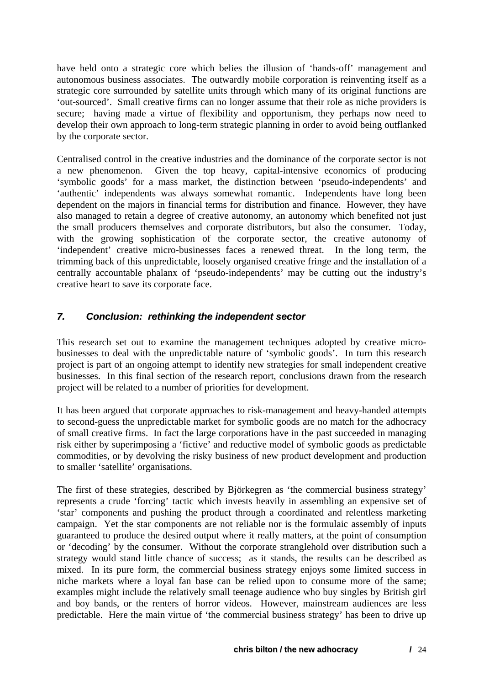<span id="page-24-0"></span>have held onto a strategic core which belies the illusion of 'hands-off' management and autonomous business associates. The outwardly mobile corporation is reinventing itself as a strategic core surrounded by satellite units through which many of its original functions are 'out-sourced'. Small creative firms can no longer assume that their role as niche providers is secure; having made a virtue of flexibility and opportunism, they perhaps now need to develop their own approach to long-term strategic planning in order to avoid being outflanked by the corporate sector.

Centralised control in the creative industries and the dominance of the corporate sector is not a new phenomenon. Given the top heavy, capital-intensive economics of producing 'symbolic goods' for a mass market, the distinction between 'pseudo-independents' and 'authentic' independents was always somewhat romantic. Independents have long been dependent on the majors in financial terms for distribution and finance. However, they have also managed to retain a degree of creative autonomy, an autonomy which benefited not just the small producers themselves and corporate distributors, but also the consumer. Today, with the growing sophistication of the corporate sector, the creative autonomy of 'independent' creative micro-businesses faces a renewed threat. In the long term, the trimming back of this unpredictable, loosely organised creative fringe and the installation of a centrally accountable phalanx of 'pseudo-independents' may be cutting out the industry's creative heart to save its corporate face.

# *7. Conclusion: rethinking the independent sector*

This research set out to examine the management techniques adopted by creative microbusinesses to deal with the unpredictable nature of 'symbolic goods'. In turn this research project is part of an ongoing attempt to identify new strategies for small independent creative businesses. In this final section of the research report, conclusions drawn from the research project will be related to a number of priorities for development.

It has been argued that corporate approaches to risk-management and heavy-handed attempts to second-guess the unpredictable market for symbolic goods are no match for the adhocracy of small creative firms. In fact the large corporations have in the past succeeded in managing risk either by superimposing a 'fictive' and reductive model of symbolic goods as predictable commodities, or by devolving the risky business of new product development and production to smaller 'satellite' organisations.

The first of these strategies, described by Björkegren as 'the commercial business strategy' represents a crude 'forcing' tactic which invests heavily in assembling an expensive set of 'star' components and pushing the product through a coordinated and relentless marketing campaign. Yet the star components are not reliable nor is the formulaic assembly of inputs guaranteed to produce the desired output where it really matters, at the point of consumption or 'decoding' by the consumer. Without the corporate stranglehold over distribution such a strategy would stand little chance of success; as it stands, the results can be described as mixed. In its pure form, the commercial business strategy enjoys some limited success in niche markets where a loyal fan base can be relied upon to consume more of the same; examples might include the relatively small teenage audience who buy singles by British girl and boy bands, or the renters of horror videos. However, mainstream audiences are less predictable. Here the main virtue of 'the commercial business strategy' has been to drive up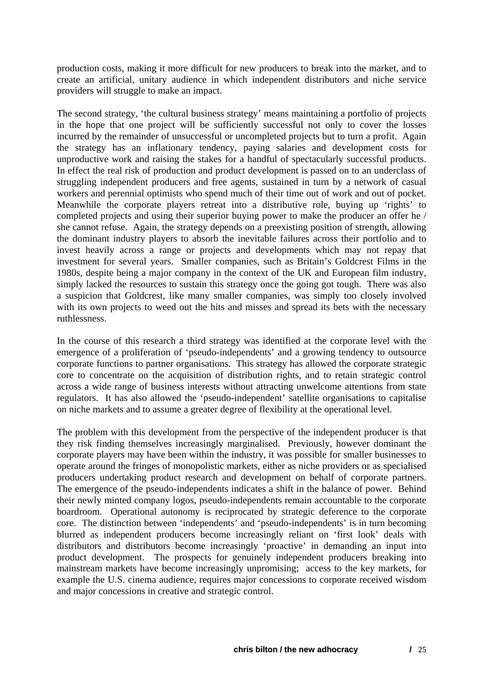production costs, making it more difficult for new producers to break into the market, and to create an artificial, unitary audience in which independent distributors and niche service providers will struggle to make an impact.

The second strategy, 'the cultural business strategy' means maintaining a portfolio of projects in the hope that one project will be sufficiently successful not only to cover the losses incurred by the remainder of unsuccessful or uncompleted projects but to turn a profit. Again the strategy has an inflationary tendency, paying salaries and development costs for unproductive work and raising the stakes for a handful of spectacularly successful products. In effect the real risk of production and product development is passed on to an underclass of struggling independent producers and free agents, sustained in turn by a network of casual workers and perennial optimists who spend much of their time out of work and out of pocket. Meanwhile the corporate players retreat into a distributive role, buying up 'rights' to completed projects and using their superior buying power to make the producer an offer he / she cannot refuse. Again, the strategy depends on a preexisting position of strength, allowing the dominant industry players to absorb the inevitable failures across their portfolio and to invest heavily across a range or projects and developments which may not repay that investment for several years. Smaller companies, such as Britain's Goldcrest Films in the 1980s, despite being a major company in the context of the UK and European film industry, simply lacked the resources to sustain this strategy once the going got tough. There was also a suspicion that Goldcrest, like many smaller companies, was simply too closely involved with its own projects to weed out the hits and misses and spread its bets with the necessary ruthlessness.

In the course of this research a third strategy was identified at the corporate level with the emergence of a proliferation of 'pseudo-independents' and a growing tendency to outsource corporate functions to partner organisations. This strategy has allowed the corporate strategic core to concentrate on the acquisition of distribution rights, and to retain strategic control across a wide range of business interests without attracting unwelcome attentions from state regulators. It has also allowed the 'pseudo-independent' satellite organisations to capitalise on niche markets and to assume a greater degree of flexibility at the operational level.

The problem with this development from the perspective of the independent producer is that they risk finding themselves increasingly marginalised. Previously, however dominant the corporate players may have been within the industry, it was possible for smaller businesses to operate around the fringes of monopolistic markets, either as niche providers or as specialised producers undertaking product research and development on behalf of corporate partners. The emergence of the pseudo-independents indicates a shift in the balance of power. Behind their newly minted company logos, pseudo-independents remain accountable to the corporate boardroom. Operational autonomy is reciprocated by strategic deference to the corporate core. The distinction between 'independents' and 'pseudo-independents' is in turn becoming blurred as independent producers become increasingly reliant on 'first look' deals with distributors and distributors become increasingly 'proactive' in demanding an input into product development. The prospects for genuinely independent producers breaking into mainstream markets have become increasingly unpromising; access to the key markets, for example the U.S. cinema audience, requires major concessions to corporate received wisdom and major concessions in creative and strategic control.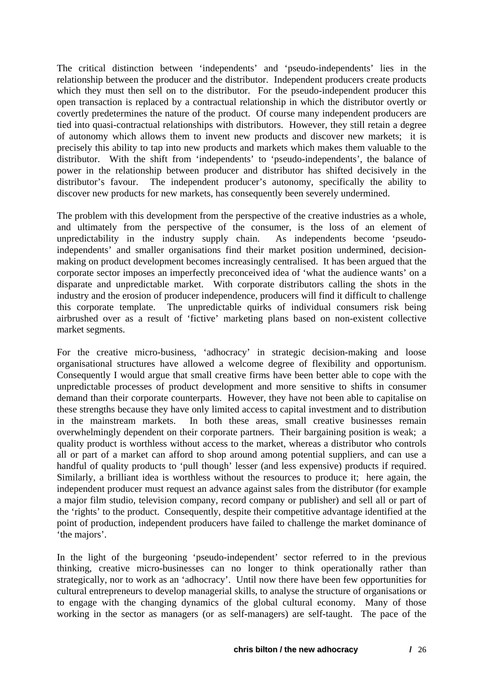The critical distinction between 'independents' and 'pseudo-independents' lies in the relationship between the producer and the distributor. Independent producers create products which they must then sell on to the distributor. For the pseudo-independent producer this open transaction is replaced by a contractual relationship in which the distributor overtly or covertly predetermines the nature of the product. Of course many independent producers are tied into quasi-contractual relationships with distributors. However, they still retain a degree of autonomy which allows them to invent new products and discover new markets; it is precisely this ability to tap into new products and markets which makes them valuable to the distributor. With the shift from 'independents' to 'pseudo-independents', the balance of power in the relationship between producer and distributor has shifted decisively in the distributor's favour. The independent producer's autonomy, specifically the ability to discover new products for new markets, has consequently been severely undermined.

The problem with this development from the perspective of the creative industries as a whole, and ultimately from the perspective of the consumer, is the loss of an element of unpredictability in the industry supply chain. As independents become 'pseudoindependents' and smaller organisations find their market position undermined, decisionmaking on product development becomes increasingly centralised. It has been argued that the corporate sector imposes an imperfectly preconceived idea of 'what the audience wants' on a disparate and unpredictable market. With corporate distributors calling the shots in the industry and the erosion of producer independence, producers will find it difficult to challenge this corporate template. The unpredictable quirks of individual consumers risk being airbrushed over as a result of 'fictive' marketing plans based on non-existent collective market segments.

For the creative micro-business, 'adhocracy' in strategic decision-making and loose organisational structures have allowed a welcome degree of flexibility and opportunism. Consequently I would argue that small creative firms have been better able to cope with the unpredictable processes of product development and more sensitive to shifts in consumer demand than their corporate counterparts. However, they have not been able to capitalise on these strengths because they have only limited access to capital investment and to distribution in the mainstream markets. In both these areas, small creative businesses remain overwhelmingly dependent on their corporate partners. Their bargaining position is weak; a quality product is worthless without access to the market, whereas a distributor who controls all or part of a market can afford to shop around among potential suppliers, and can use a handful of quality products to 'pull though' lesser (and less expensive) products if required. Similarly, a brilliant idea is worthless without the resources to produce it; here again, the independent producer must request an advance against sales from the distributor (for example a major film studio, television company, record company or publisher) and sell all or part of the 'rights' to the product. Consequently, despite their competitive advantage identified at the point of production, independent producers have failed to challenge the market dominance of 'the majors'.

In the light of the burgeoning 'pseudo-independent' sector referred to in the previous thinking, creative micro-businesses can no longer to think operationally rather than strategically, nor to work as an 'adhocracy'. Until now there have been few opportunities for cultural entrepreneurs to develop managerial skills, to analyse the structure of organisations or to engage with the changing dynamics of the global cultural economy. Many of those working in the sector as managers (or as self-managers) are self-taught. The pace of the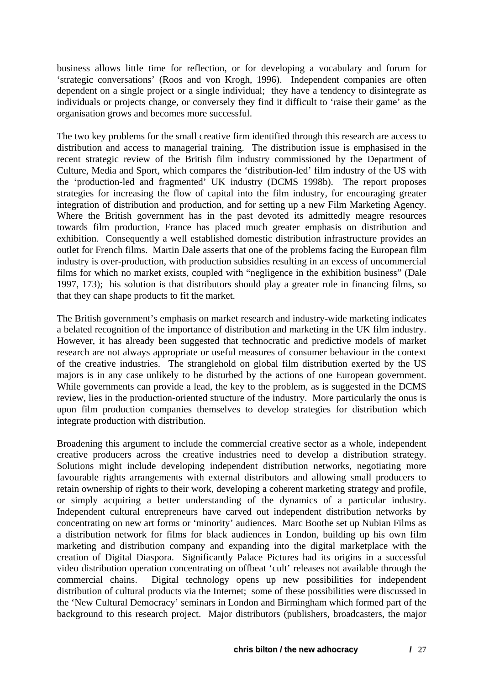business allows little time for reflection, or for developing a vocabulary and forum for 'strategic conversations' (Roos and von Krogh, 1996). Independent companies are often dependent on a single project or a single individual; they have a tendency to disintegrate as individuals or projects change, or conversely they find it difficult to 'raise their game' as the organisation grows and becomes more successful.

The two key problems for the small creative firm identified through this research are access to distribution and access to managerial training. The distribution issue is emphasised in the recent strategic review of the British film industry commissioned by the Department of Culture, Media and Sport, which compares the 'distribution-led' film industry of the US with the 'production-led and fragmented' UK industry (DCMS 1998b). The report proposes strategies for increasing the flow of capital into the film industry, for encouraging greater integration of distribution and production, and for setting up a new Film Marketing Agency. Where the British government has in the past devoted its admittedly meagre resources towards film production, France has placed much greater emphasis on distribution and exhibition. Consequently a well established domestic distribution infrastructure provides an outlet for French films. Martin Dale asserts that one of the problems facing the European film industry is over-production, with production subsidies resulting in an excess of uncommercial films for which no market exists, coupled with "negligence in the exhibition business" (Dale 1997, 173); his solution is that distributors should play a greater role in financing films, so that they can shape products to fit the market.

The British government's emphasis on market research and industry-wide marketing indicates a belated recognition of the importance of distribution and marketing in the UK film industry. However, it has already been suggested that technocratic and predictive models of market research are not always appropriate or useful measures of consumer behaviour in the context of the creative industries. The stranglehold on global film distribution exerted by the US majors is in any case unlikely to be disturbed by the actions of one European government. While governments can provide a lead, the key to the problem, as is suggested in the DCMS review, lies in the production-oriented structure of the industry. More particularly the onus is upon film production companies themselves to develop strategies for distribution which integrate production with distribution.

Broadening this argument to include the commercial creative sector as a whole, independent creative producers across the creative industries need to develop a distribution strategy. Solutions might include developing independent distribution networks, negotiating more favourable rights arrangements with external distributors and allowing small producers to retain ownership of rights to their work, developing a coherent marketing strategy and profile, or simply acquiring a better understanding of the dynamics of a particular industry. Independent cultural entrepreneurs have carved out independent distribution networks by concentrating on new art forms or 'minority' audiences. Marc Boothe set up Nubian Films as a distribution network for films for black audiences in London, building up his own film marketing and distribution company and expanding into the digital marketplace with the creation of Digital Diaspora. Significantly Palace Pictures had its origins in a successful video distribution operation concentrating on offbeat 'cult' releases not available through the commercial chains. Digital technology opens up new possibilities for independent distribution of cultural products via the Internet; some of these possibilities were discussed in the 'New Cultural Democracy' seminars in London and Birmingham which formed part of the background to this research project. Major distributors (publishers, broadcasters, the major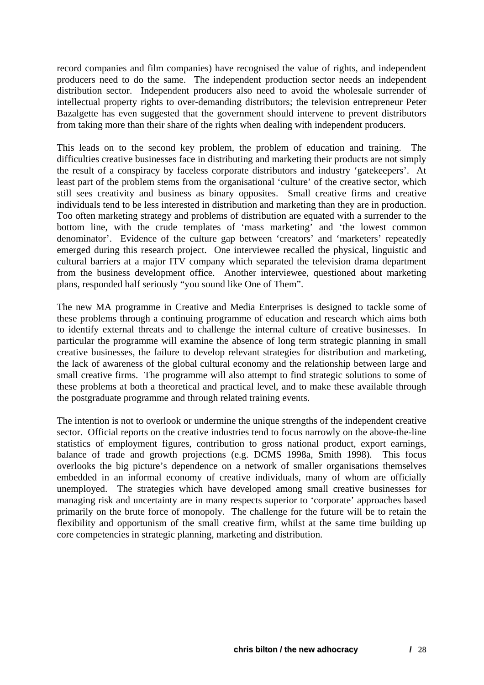record companies and film companies) have recognised the value of rights, and independent producers need to do the same. The independent production sector needs an independent distribution sector. Independent producers also need to avoid the wholesale surrender of intellectual property rights to over-demanding distributors; the television entrepreneur Peter Bazalgette has even suggested that the government should intervene to prevent distributors from taking more than their share of the rights when dealing with independent producers.

This leads on to the second key problem, the problem of education and training. The difficulties creative businesses face in distributing and marketing their products are not simply the result of a conspiracy by faceless corporate distributors and industry 'gatekeepers'. At least part of the problem stems from the organisational 'culture' of the creative sector, which still sees creativity and business as binary opposites. Small creative firms and creative individuals tend to be less interested in distribution and marketing than they are in production. Too often marketing strategy and problems of distribution are equated with a surrender to the bottom line, with the crude templates of 'mass marketing' and 'the lowest common denominator'. Evidence of the culture gap between 'creators' and 'marketers' repeatedly emerged during this research project. One interviewee recalled the physical, linguistic and cultural barriers at a major ITV company which separated the television drama department from the business development office. Another interviewee, questioned about marketing plans, responded half seriously "you sound like One of Them".

The new MA programme in Creative and Media Enterprises is designed to tackle some of these problems through a continuing programme of education and research which aims both to identify external threats and to challenge the internal culture of creative businesses. In particular the programme will examine the absence of long term strategic planning in small creative businesses, the failure to develop relevant strategies for distribution and marketing, the lack of awareness of the global cultural economy and the relationship between large and small creative firms. The programme will also attempt to find strategic solutions to some of these problems at both a theoretical and practical level, and to make these available through the postgraduate programme and through related training events.

The intention is not to overlook or undermine the unique strengths of the independent creative sector. Official reports on the creative industries tend to focus narrowly on the above-the-line statistics of employment figures, contribution to gross national product, export earnings, balance of trade and growth projections (e.g. DCMS 1998a, Smith 1998). This focus overlooks the big picture's dependence on a network of smaller organisations themselves embedded in an informal economy of creative individuals, many of whom are officially unemployed. The strategies which have developed among small creative businesses for managing risk and uncertainty are in many respects superior to 'corporate' approaches based primarily on the brute force of monopoly. The challenge for the future will be to retain the flexibility and opportunism of the small creative firm, whilst at the same time building up core competencies in strategic planning, marketing and distribution.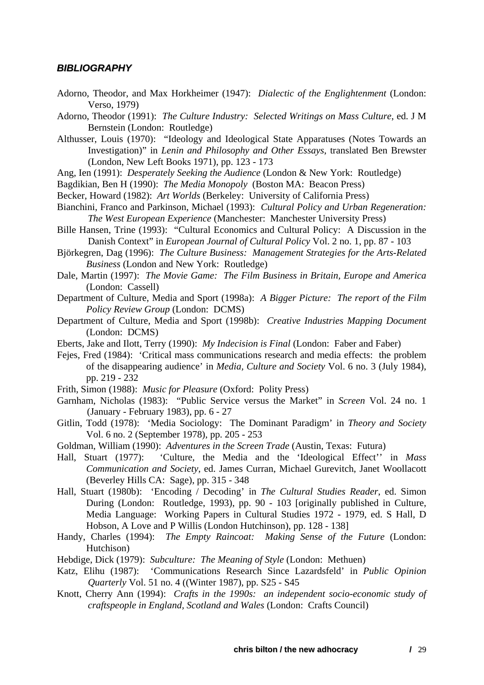#### <span id="page-29-0"></span>*BIBLIOGRAPHY*

- Adorno, Theodor, and Max Horkheimer (1947): *Dialectic of the Englightenment* (London: Verso, 1979)
- Adorno, Theodor (1991): *The Culture Industry: Selected Writings on Mass Culture*, ed. J M Bernstein (London: Routledge)
- Althusser, Louis (1970): "Ideology and Ideological State Apparatuses (Notes Towards an Investigation)" in *Lenin and Philosophy and Other Essays*, translated Ben Brewster (London, New Left Books 1971), pp. 123 - 173
- Ang, Ien (1991): *Desperately Seeking the Audience* (London & New York: Routledge)
- Bagdikian, Ben H (1990): *The Media Monopoly* (Boston MA: Beacon Press)
- Becker, Howard (1982): *Art Worlds* (Berkeley: University of California Press)
- Bianchini, Franco and Parkinson, Michael (1993): *Cultural Policy and Urban Regeneration: The West European Experience* (Manchester: Manchester University Press)
- Bille Hansen, Trine (1993): "Cultural Economics and Cultural Policy: A Discussion in the Danish Context" in *European Journal of Cultural Policy* Vol. 2 no. 1, pp. 87 - 103
- Björkegren, Dag (1996): *The Culture Business: Management Strategies for the Arts-Related Business* (London and New York: Routledge)
- Dale, Martin (1997): *The Movie Game: The Film Business in Britain, Europe and America* (London: Cassell)
- Department of Culture, Media and Sport (1998a): *A Bigger Picture: The report of the Film Policy Review Group* (London: DCMS)
- Department of Culture, Media and Sport (1998b): *Creative Industries Mapping Document* (London: DCMS)
- Eberts, Jake and Ilott, Terry (1990): *My Indecision is Final* (London: Faber and Faber)
- Fejes, Fred (1984): 'Critical mass communications research and media effects: the problem of the disappearing audience' in *Media, Culture and Society* Vol. 6 no. 3 (July 1984), pp. 219 - 232
- Frith, Simon (1988): *Music for Pleasure* (Oxford: Polity Press)
- Garnham, Nicholas (1983): "Public Service versus the Market" in *Screen* Vol. 24 no. 1 (January - February 1983), pp. 6 - 27
- Gitlin, Todd (1978): 'Media Sociology: The Dominant Paradigm' in *Theory and Society* Vol. 6 no. 2 (September 1978), pp. 205 - 253
- Goldman, William (1990): *Adventures in the Screen Trade* (Austin, Texas: Futura)
- Hall, Stuart (1977): 'Culture, the Media and the 'Ideological Effect'' in *Mass Communication and Society*, ed. James Curran, Michael Gurevitch, Janet Woollacott (Beverley Hills CA: Sage), pp. 315 - 348
- Hall, Stuart (1980b): 'Encoding / Decoding' in *The Cultural Studies Reader*, ed. Simon During (London: Routledge, 1993), pp. 90 - 103 [originally published in Culture, Media Language: Working Papers in Cultural Studies 1972 - 1979, ed. S Hall, D Hobson, A Love and P Willis (London Hutchinson), pp. 128 - 138]
- Handy, Charles (1994): *The Empty Raincoat: Making Sense of the Future* (London: Hutchison)
- Hebdige, Dick (1979): *Subculture: The Meaning of Style* (London: Methuen)
- Katz, Elihu (1987): 'Communications Research Since Lazardsfeld' in *Public Opinion Quarterly* Vol. 51 no. 4 ((Winter 1987), pp. S25 - S45
- Knott, Cherry Ann (1994): *Crafts in the 1990s: an independent socio-economic study of craftspeople in England, Scotland and Wales* (London: Crafts Council)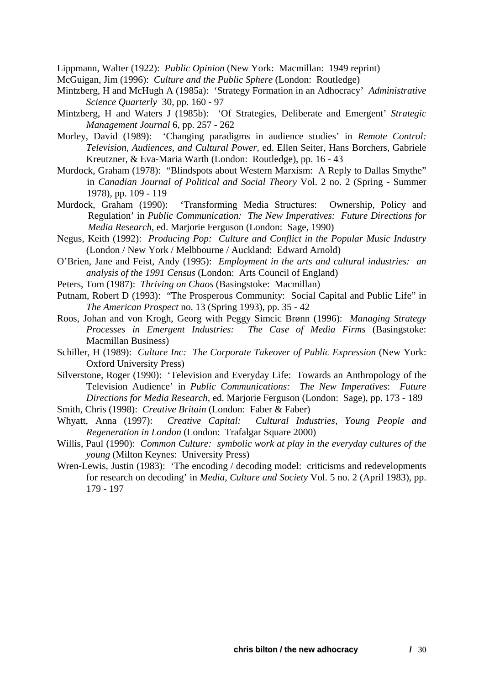Lippmann, Walter (1922): *Public Opinion* (New York: Macmillan: 1949 reprint)

McGuigan, Jim (1996): *Culture and the Public Sphere* (London: Routledge)

- Mintzberg, H and McHugh A (1985a): 'Strategy Formation in an Adhocracy' *Administrative Science Quarterly* 30, pp. 160 - 97
- Mintzberg, H and Waters J (1985b): 'Of Strategies, Deliberate and Emergent' *Strategic Management Journal* 6, pp. 257 - 262
- Morley, David (1989): 'Changing paradigms in audience studies' in *Remote Control: Television, Audiences, and Cultural Power*, ed. Ellen Seiter, Hans Borchers, Gabriele Kreutzner, & Eva-Maria Warth (London: Routledge), pp. 16 - 43
- Murdock, Graham (1978): "Blindspots about Western Marxism: A Reply to Dallas Smythe" in *Canadian Journal of Political and Social Theory* Vol. 2 no. 2 (Spring - Summer 1978), pp. 109 - 119
- Murdock, Graham (1990): 'Transforming Media Structures: Ownership, Policy and Regulation' in *Public Communication: The New Imperatives: Future Directions for Media Research*, ed. Marjorie Ferguson (London: Sage, 1990)
- Negus, Keith (1992): *Producing Pop: Culture and Conflict in the Popular Music Industry* (London / New York / Melbbourne / Auckland: Edward Arnold)
- O'Brien, Jane and Feist, Andy (1995): *Employment in the arts and cultural industries: an analysis of the 1991 Census* (London: Arts Council of England)
- Peters, Tom (1987): *Thriving on Chaos* (Basingstoke: Macmillan)
- Putnam, Robert D (1993): "The Prosperous Community: Social Capital and Public Life" in *The American Prospect* no. 13 (Spring 1993), pp. 35 - 42
- Roos, Johan and von Krogh, Georg with Peggy Simcic Brønn (1996): *Managing Strategy Processes in Emergent Industries: The Case of Media Firms* (Basingstoke: Macmillan Business)
- Schiller, H (1989): *Culture Inc: The Corporate Takeover of Public Expression* (New York: Oxford University Press)
- Silverstone, Roger (1990): 'Television and Everyday Life: Towards an Anthropology of the Television Audience' in *Public Communications: The New Imperatives*: *Future Directions for Media Research*, ed. Marjorie Ferguson (London: Sage), pp. 173 - 189 Smith, Chris (1998): *Creative Britain* (London: Faber & Faber)
- 
- Whyatt, Anna (1997): *Creative Capital: Cultural Industries, Young People and Regeneration in London* (London: Trafalgar Square 2000)
- Willis, Paul (1990): *Common Culture: symbolic work at play in the everyday cultures of the young* (Milton Keynes: University Press)
- Wren-Lewis, Justin (1983): 'The encoding / decoding model: criticisms and redevelopments for research on decoding' in *Media, Culture and Society* Vol. 5 no. 2 (April 1983), pp. 179 - 197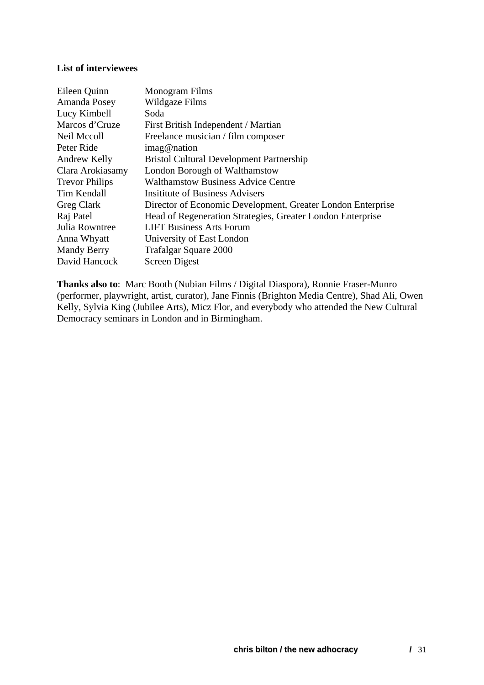#### **List of interviewees**

| Eileen Quinn          | Monogram Films                                              |
|-----------------------|-------------------------------------------------------------|
| Amanda Posey          | Wildgaze Films                                              |
| Lucy Kimbell          | Soda                                                        |
| Marcos d'Cruze        | First British Independent / Martian                         |
| Neil Mccoll           | Freelance musician / film composer                          |
| Peter Ride            | imag@nation                                                 |
| Andrew Kelly          | <b>Bristol Cultural Development Partnership</b>             |
| Clara Arokiasamy      | London Borough of Walthamstow                               |
| <b>Trevor Philips</b> | <b>Walthamstow Business Advice Centre</b>                   |
| Tim Kendall           | <b>Insitiate of Business Advisers</b>                       |
| Greg Clark            | Director of Economic Development, Greater London Enterprise |
| Raj Patel             | Head of Regeneration Strategies, Greater London Enterprise  |
| Julia Rowntree        | <b>LIFT Business Arts Forum</b>                             |
| Anna Whyatt           | University of East London                                   |
| <b>Mandy Berry</b>    | Trafalgar Square 2000                                       |
| David Hancock         | <b>Screen Digest</b>                                        |

**Thanks also to**: Marc Booth (Nubian Films / Digital Diaspora), Ronnie Fraser-Munro (performer, playwright, artist, curator), Jane Finnis (Brighton Media Centre), Shad Ali, Owen Kelly, Sylvia King (Jubilee Arts), Micz Flor, and everybody who attended the New Cultural Democracy seminars in London and in Birmingham.